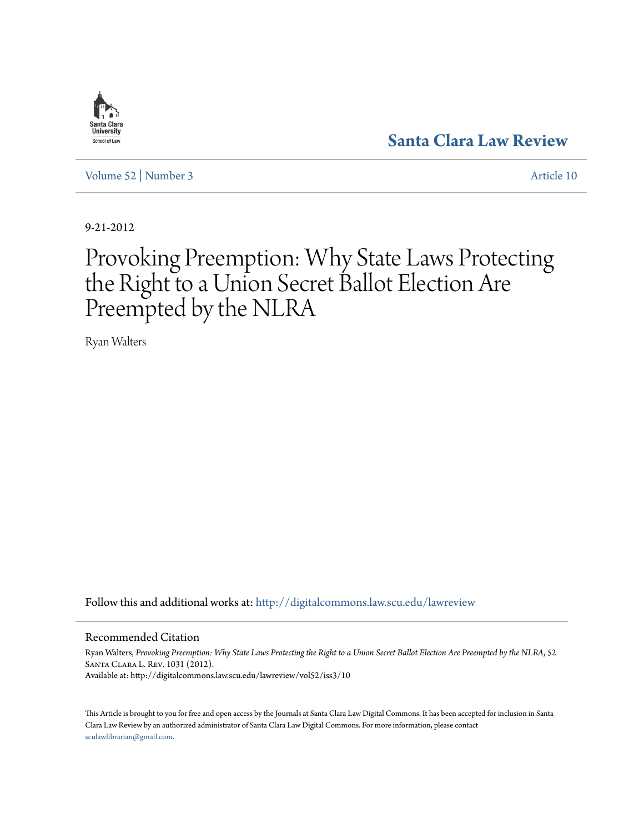

**[Santa Clara Law Review](http://digitalcommons.law.scu.edu/lawreview?utm_source=digitalcommons.law.scu.edu%2Flawreview%2Fvol52%2Fiss3%2F10&utm_medium=PDF&utm_campaign=PDFCoverPages)**

[Volume 52](http://digitalcommons.law.scu.edu/lawreview/vol52?utm_source=digitalcommons.law.scu.edu%2Flawreview%2Fvol52%2Fiss3%2F10&utm_medium=PDF&utm_campaign=PDFCoverPages) | [Number 3](http://digitalcommons.law.scu.edu/lawreview/vol52/iss3?utm_source=digitalcommons.law.scu.edu%2Flawreview%2Fvol52%2Fiss3%2F10&utm_medium=PDF&utm_campaign=PDFCoverPages) [Article 10](http://digitalcommons.law.scu.edu/lawreview/vol52/iss3/10?utm_source=digitalcommons.law.scu.edu%2Flawreview%2Fvol52%2Fiss3%2F10&utm_medium=PDF&utm_campaign=PDFCoverPages)

9-21-2012

# Provoking Preemption: Why State Laws Protecting the Right to a Union Secret Ballot Election Are Preempted by the NLRA

Ryan Walters

Follow this and additional works at: [http://digitalcommons.law.scu.edu/lawreview](http://digitalcommons.law.scu.edu/lawreview?utm_source=digitalcommons.law.scu.edu%2Flawreview%2Fvol52%2Fiss3%2F10&utm_medium=PDF&utm_campaign=PDFCoverPages)

#### Recommended Citation

Ryan Walters, *Provoking Preemption: Why State Laws Protecting the Right to a Union Secret Ballot Election Are Preempted by the NLRA*, 52 Santa Clara L. Rev. 1031 (2012). Available at: http://digitalcommons.law.scu.edu/lawreview/vol52/iss3/10

This Article is brought to you for free and open access by the Journals at Santa Clara Law Digital Commons. It has been accepted for inclusion in Santa Clara Law Review by an authorized administrator of Santa Clara Law Digital Commons. For more information, please contact [sculawlibrarian@gmail.com](mailto:sculawlibrarian@gmail.com).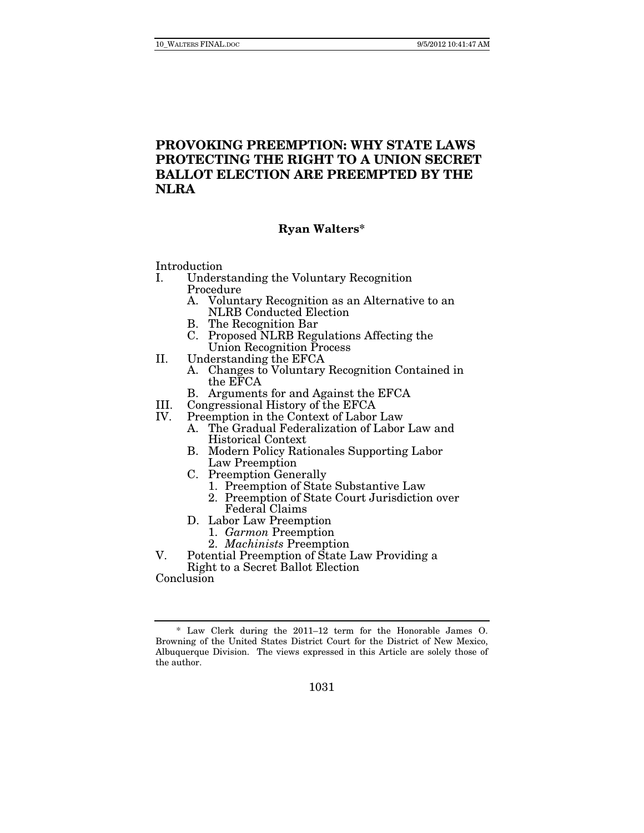# **PROVOKING PREEMPTION: WHY STATE LAWS PROTECTING THE RIGHT TO A UNION SECRET BALLOT ELECTION ARE PREEMPTED BY THE NLRA**

# **Ryan Walters\***

Introduction

- I. Understanding the Voluntary Recognition Procedure
	- A. Voluntary Recognition as an Alternative to an NLRB Conducted Election
	- B. The Recognition Bar
	- C. Proposed NLRB Regulations Affecting the Union Recognition Process
- II. Understanding the EFCA
	- A. Changes to Voluntary Recognition Contained in the EFCA
	- B. Arguments for and Against the EFCA
- III. Congressional History of the EFCA<br>IV. Preemption in the Context of Labor
- Preemption in the Context of Labor Law<br>A. The Gradual Federalization of Labor
	- The Gradual Federalization of Labor Law and Historical Context
	- B. Modern Policy Rationales Supporting Labor Law Preemption
	- C. Preemption Generally
		- 1. Preemption of State Substantive Law
		- 2. Preemption of State Court Jurisdiction over Federal Claims
	- D. Labor Law Preemption
		- 1. Garmon Preemption
		- 2. Machinists Preemption
- V. Potential Preemption of State Law Providing a Right to a Secret Ballot Election

Conclusion

 <sup>\*</sup> Law Clerk during the 2011–12 term for the Honorable James O. Browning of the United States District Court for the District of New Mexico, Albuquerque Division. The views expressed in this Article are solely those of the author.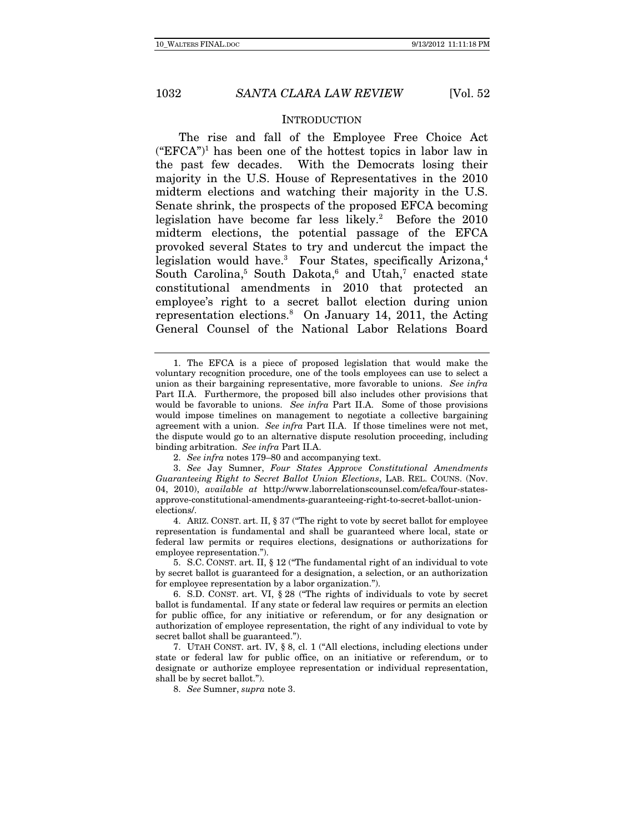#### INTRODUCTION

The rise and fall of the Employee Free Choice Act  $("EFCA")$ <sup>1</sup> has been one of the hottest topics in labor law in the past few decades. With the Democrats losing their majority in the U.S. House of Representatives in the 2010 midterm elections and watching their majority in the U.S. Senate shrink, the prospects of the proposed EFCA becoming legislation have become far less likely.<sup>2</sup> Before the 2010 midterm elections, the potential passage of the EFCA provoked several States to try and undercut the impact the legislation would have.<sup>3</sup> Four States, specifically Arizona,<sup>4</sup> South Carolina,<sup>5</sup> South Dakota,<sup>6</sup> and Utah,<sup>7</sup> enacted state constitutional amendments in 2010 that protected an employee's right to a secret ballot election during union representation elections.8 On January 14, 2011, the Acting General Counsel of the National Labor Relations Board

3. See Jay Sumner, Four States Approve Constitutional Amendments Guaranteeing Right to Secret Ballot Union Elections, LAB. REL. COUNS. (Nov. 04, 2010), available at http://www.laborrelationscounsel.com/efca/four-statesapprove-constitutional-amendments-guaranteeing-right-to-secret-ballot-unionelections/.

 4. ARIZ. CONST. art. II, § 37 ("The right to vote by secret ballot for employee representation is fundamental and shall be guaranteed where local, state or federal law permits or requires elections, designations or authorizations for employee representation.").

 5. S.C. CONST. art. II, § 12 ("The fundamental right of an individual to vote by secret ballot is guaranteed for a designation, a selection, or an authorization for employee representation by a labor organization.").

 7. UTAH CONST. art. IV, § 8, cl. 1 ("All elections, including elections under state or federal law for public office, on an initiative or referendum, or to designate or authorize employee representation or individual representation, shall be by secret ballot.").

8. See Sumner, supra note 3.

 <sup>1.</sup> The EFCA is a piece of proposed legislation that would make the voluntary recognition procedure, one of the tools employees can use to select a union as their bargaining representative, more favorable to unions. See infra Part II.A. Furthermore, the proposed bill also includes other provisions that would be favorable to unions. See infra Part II.A. Some of those provisions would impose timelines on management to negotiate a collective bargaining agreement with a union. See infra Part II.A. If those timelines were not met, the dispute would go to an alternative dispute resolution proceeding, including binding arbitration. See infra Part II.A.

<sup>2.</sup> See infra notes 179–80 and accompanying text.

 <sup>6.</sup> S.D. CONST. art. VI, § 28 ("The rights of individuals to vote by secret ballot is fundamental. If any state or federal law requires or permits an election for public office, for any initiative or referendum, or for any designation or authorization of employee representation, the right of any individual to vote by secret ballot shall be guaranteed.").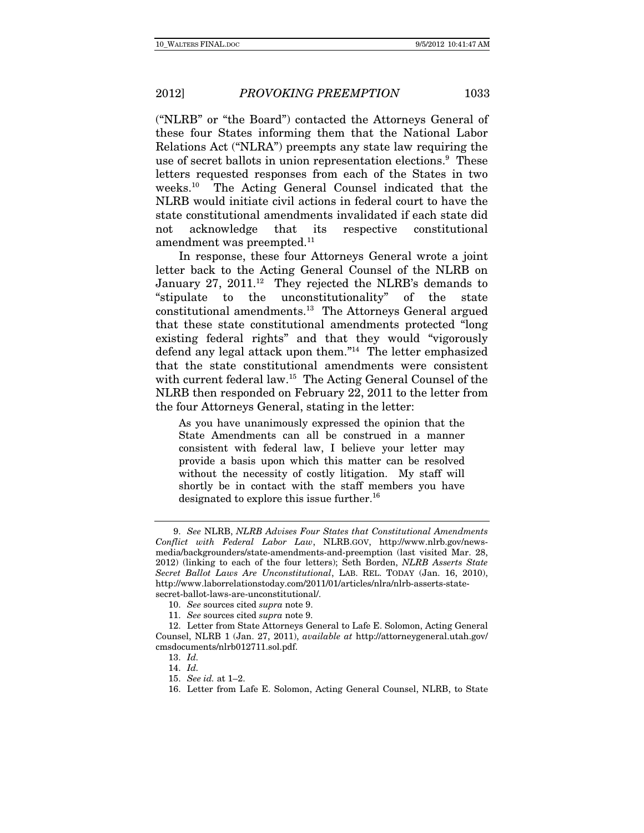("NLRB" or "the Board") contacted the Attorneys General of these four States informing them that the National Labor Relations Act ("NLRA") preempts any state law requiring the use of secret ballots in union representation elections.<sup>9</sup> These letters requested responses from each of the States in two weeks.10 The Acting General Counsel indicated that the NLRB would initiate civil actions in federal court to have the state constitutional amendments invalidated if each state did not acknowledge that its respective constitutional amendment was preempted.<sup>11</sup>

In response, these four Attorneys General wrote a joint letter back to the Acting General Counsel of the NLRB on January 27, 2011.<sup>12</sup> They rejected the NLRB's demands to "stipulate to the unconstitutionality" of the state constitutional amendments.13 The Attorneys General argued that these state constitutional amendments protected "long existing federal rights" and that they would "vigorously defend any legal attack upon them."14 The letter emphasized that the state constitutional amendments were consistent with current federal law.<sup>15</sup> The Acting General Counsel of the NLRB then responded on February 22, 2011 to the letter from the four Attorneys General, stating in the letter:

As you have unanimously expressed the opinion that the State Amendments can all be construed in a manner consistent with federal law, I believe your letter may provide a basis upon which this matter can be resolved without the necessity of costly litigation. My staff will shortly be in contact with the staff members you have designated to explore this issue further.<sup>16</sup>

<sup>9.</sup> See NLRB, NLRB Advises Four States that Constitutional Amendments Conflict with Federal Labor Law, NLRB.GOV, http://www.nlrb.gov/newsmedia/backgrounders/state-amendments-and-preemption (last visited Mar. 28, 2012) (linking to each of the four letters); Seth Borden, NLRB Asserts State Secret Ballot Laws Are Unconstitutional, LAB. REL. TODAY (Jan. 16, 2010), http://www.laborrelationstoday.com/2011/01/articles/nlra/nlrb-asserts-statesecret-ballot-laws-are-unconstitutional/.

<sup>10.</sup> See sources cited supra note 9.

<sup>11.</sup> See sources cited supra note 9.

 <sup>12.</sup> Letter from State Attorneys General to Lafe E. Solomon, Acting General Counsel, NLRB 1 (Jan. 27, 2011), available at http://attorneygeneral.utah.gov/ cmsdocuments/nlrb012711.sol.pdf.

<sup>13.</sup> Id.

<sup>14.</sup> Id.

<sup>15.</sup> See id. at 1–2.

 <sup>16.</sup> Letter from Lafe E. Solomon, Acting General Counsel, NLRB, to State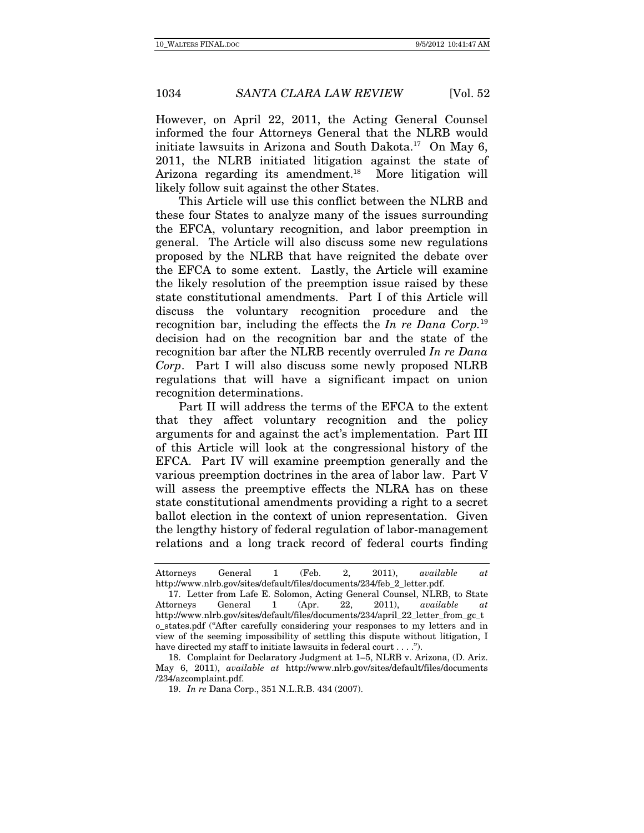However, on April 22, 2011, the Acting General Counsel informed the four Attorneys General that the NLRB would initiate lawsuits in Arizona and South Dakota.<sup>17</sup> On May 6, 2011, the NLRB initiated litigation against the state of Arizona regarding its amendment.<sup>18</sup> More litigation will

likely follow suit against the other States.

This Article will use this conflict between the NLRB and these four States to analyze many of the issues surrounding the EFCA, voluntary recognition, and labor preemption in general. The Article will also discuss some new regulations proposed by the NLRB that have reignited the debate over the EFCA to some extent. Lastly, the Article will examine the likely resolution of the preemption issue raised by these state constitutional amendments. Part I of this Article will discuss the voluntary recognition procedure and the recognition bar, including the effects the In re Dana Corp.<sup>19</sup> decision had on the recognition bar and the state of the recognition bar after the NLRB recently overruled In re Dana Corp. Part I will also discuss some newly proposed NLRB regulations that will have a significant impact on union recognition determinations.

Part II will address the terms of the EFCA to the extent that they affect voluntary recognition and the policy arguments for and against the act's implementation. Part III of this Article will look at the congressional history of the EFCA. Part IV will examine preemption generally and the various preemption doctrines in the area of labor law. Part V will assess the preemptive effects the NLRA has on these state constitutional amendments providing a right to a secret ballot election in the context of union representation. Given the lengthy history of federal regulation of labor-management relations and a long track record of federal courts finding

Attorneys General 1 (Feb. 2, 2011), available at http://www.nlrb.gov/sites/default/files/documents/234/feb\_2\_letter.pdf.

 <sup>17.</sup> Letter from Lafe E. Solomon, Acting General Counsel, NLRB, to State Attorneys General 1 (Apr. 22, 2011), available at http://www.nlrb.gov/sites/default/files/documents/234/april\_22\_letter\_from\_gc\_t o\_states.pdf ("After carefully considering your responses to my letters and in view of the seeming impossibility of settling this dispute without litigation, I have directed my staff to initiate lawsuits in federal court . . . .").

 <sup>18.</sup> Complaint for Declaratory Judgment at 1–5, NLRB v. Arizona, (D. Ariz. May 6, 2011), available at http://www.nlrb.gov/sites/default/files/documents /234/azcomplaint.pdf.

 <sup>19.</sup> In re Dana Corp., 351 N.L.R.B. 434 (2007).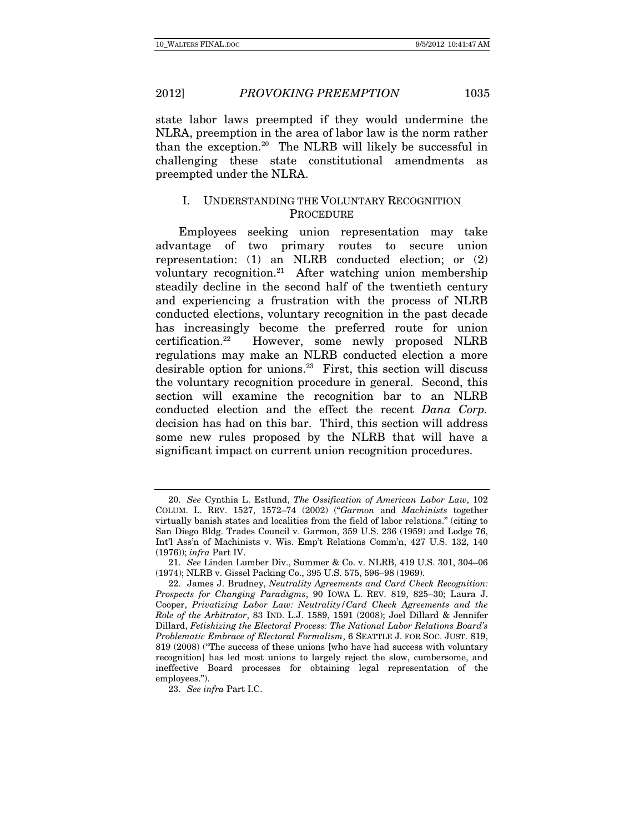state labor laws preempted if they would undermine the NLRA, preemption in the area of labor law is the norm rather than the exception.20 The NLRB will likely be successful in challenging these state constitutional amendments as preempted under the NLRA.

# I. UNDERSTANDING THE VOLUNTARY RECOGNITION **PROCEDURE**

Employees seeking union representation may take advantage of two primary routes to secure union representation: (1) an NLRB conducted election; or (2) voluntary recognition.21 After watching union membership steadily decline in the second half of the twentieth century and experiencing a frustration with the process of NLRB conducted elections, voluntary recognition in the past decade has increasingly become the preferred route for union certification.22 However, some newly proposed NLRB regulations may make an NLRB conducted election a more desirable option for unions.<sup>23</sup> First, this section will discuss the voluntary recognition procedure in general. Second, this section will examine the recognition bar to an NLRB conducted election and the effect the recent Dana Corp. decision has had on this bar. Third, this section will address some new rules proposed by the NLRB that will have a significant impact on current union recognition procedures.

<sup>20.</sup> See Cynthia L. Estlund, The Ossification of American Labor Law, 102 COLUM. L. REV. 1527, 1572–74 (2002) ("Garmon and Machinists together virtually banish states and localities from the field of labor relations." (citing to San Diego Bldg. Trades Council v. Garmon, 359 U.S. 236 (1959) and Lodge 76, Int'l Ass'n of Machinists v. Wis. Emp't Relations Comm'n, 427 U.S. 132, 140 (1976)); infra Part IV.

<sup>21.</sup> See Linden Lumber Div., Summer & Co. v. NLRB, 419 U.S. 301, 304–06 (1974); NLRB v. Gissel Packing Co., 395 U.S. 575, 596–98 (1969).

 <sup>22.</sup> James J. Brudney, Neutrality Agreements and Card Check Recognition: Prospects for Changing Paradigms, 90 IOWA L. REV. 819, 825–30; Laura J. Cooper, Privatizing Labor Law: Neutrality/Card Check Agreements and the Role of the Arbitrator, 83 IND. L.J. 1589, 1591 (2008); Joel Dillard & Jennifer Dillard, Fetishizing the Electoral Process: The National Labor Relations Board's Problematic Embrace of Electoral Formalism, 6 SEATTLE J. FOR SOC. JUST. 819, 819 (2008) ("The success of these unions [who have had success with voluntary recognition] has led most unions to largely reject the slow, cumbersome, and ineffective Board processes for obtaining legal representation of the employees.").

<sup>23.</sup> See infra Part I.C.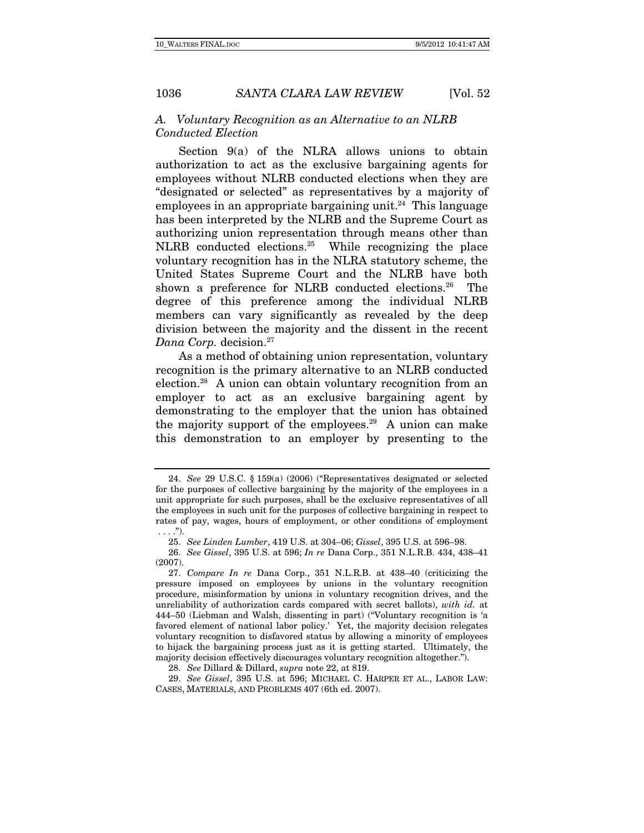### A. Voluntary Recognition as an Alternative to an NLRB Conducted Election

Section 9(a) of the NLRA allows unions to obtain authorization to act as the exclusive bargaining agents for employees without NLRB conducted elections when they are "designated or selected" as representatives by a majority of employees in an appropriate bargaining unit.<sup>24</sup> This language has been interpreted by the NLRB and the Supreme Court as authorizing union representation through means other than NLRB conducted elections.25 While recognizing the place voluntary recognition has in the NLRA statutory scheme, the United States Supreme Court and the NLRB have both shown a preference for NLRB conducted elections.<sup>26</sup> The degree of this preference among the individual NLRB members can vary significantly as revealed by the deep division between the majority and the dissent in the recent Dana Corp. decision.<sup>27</sup>

As a method of obtaining union representation, voluntary recognition is the primary alternative to an NLRB conducted election.28 A union can obtain voluntary recognition from an employer to act as an exclusive bargaining agent by demonstrating to the employer that the union has obtained the majority support of the employees.29 A union can make this demonstration to an employer by presenting to the

<sup>24.</sup> See 29 U.S.C. § 159(a) (2006) ("Representatives designated or selected for the purposes of collective bargaining by the majority of the employees in a unit appropriate for such purposes, shall be the exclusive representatives of all the employees in such unit for the purposes of collective bargaining in respect to rates of pay, wages, hours of employment, or other conditions of employment  $\ldots$ .").

<sup>25.</sup> See Linden Lumber, 419 U.S. at 304–06; Gissel, 395 U.S. at 596–98.

<sup>26.</sup> See Gissel, 395 U.S. at 596; In re Dana Corp., 351 N.L.R.B. 434, 438–41 (2007).

<sup>27.</sup> Compare In re Dana Corp., 351 N.L.R.B. at 438–40 (criticizing the pressure imposed on employees by unions in the voluntary recognition procedure, misinformation by unions in voluntary recognition drives, and the unreliability of authorization cards compared with secret ballots), with id. at 444–50 (Liebman and Walsh, dissenting in part) ("Voluntary recognition is 'a favored element of national labor policy.' Yet, the majority decision relegates voluntary recognition to disfavored status by allowing a minority of employees to hijack the bargaining process just as it is getting started. Ultimately, the majority decision effectively discourages voluntary recognition altogether.").

<sup>28.</sup> See Dillard & Dillard, supra note 22, at 819.

<sup>29.</sup> See Gissel, 395 U.S. at 596; MICHAEL C. HARPER ET AL., LABOR LAW: CASES, MATERIALS, AND PROBLEMS 407 (6th ed. 2007).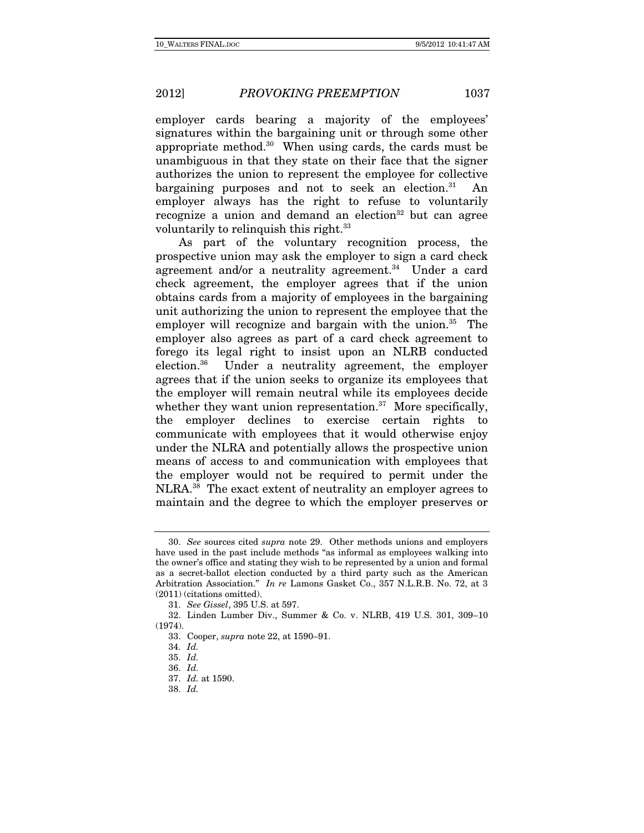employer cards bearing a majority of the employees' signatures within the bargaining unit or through some other appropriate method.30 When using cards, the cards must be unambiguous in that they state on their face that the signer authorizes the union to represent the employee for collective bargaining purposes and not to seek an election. $31$  An employer always has the right to refuse to voluntarily recognize a union and demand an election<sup>32</sup> but can agree voluntarily to relinquish this right.<sup>33</sup>

As part of the voluntary recognition process, the prospective union may ask the employer to sign a card check agreement and/or a neutrality agreement.<sup>34</sup> Under a card check agreement, the employer agrees that if the union obtains cards from a majority of employees in the bargaining unit authorizing the union to represent the employee that the employer will recognize and bargain with the union. $35$  The employer also agrees as part of a card check agreement to forego its legal right to insist upon an NLRB conducted election.36 Under a neutrality agreement, the employer agrees that if the union seeks to organize its employees that the employer will remain neutral while its employees decide whether they want union representation. $37$  More specifically, the employer declines to exercise certain rights to communicate with employees that it would otherwise enjoy under the NLRA and potentially allows the prospective union means of access to and communication with employees that the employer would not be required to permit under the NLRA.38 The exact extent of neutrality an employer agrees to maintain and the degree to which the employer preserves or

<sup>30.</sup> See sources cited supra note 29. Other methods unions and employers have used in the past include methods "as informal as employees walking into the owner's office and stating they wish to be represented by a union and formal as a secret-ballot election conducted by a third party such as the American Arbitration Association." In re Lamons Gasket Co., 357 N.L.R.B. No. 72, at 3 (2011) (citations omitted).

<sup>31.</sup> See Gissel, 395 U.S. at 597.

 <sup>32.</sup> Linden Lumber Div., Summer & Co. v. NLRB, 419 U.S. 301, 309–10 (1974).

 <sup>33.</sup> Cooper, supra note 22, at 1590–91.

<sup>34.</sup> Id.

<sup>35.</sup> Id.

<sup>36.</sup> Id.

<sup>37.</sup> Id. at 1590.

<sup>38.</sup> Id.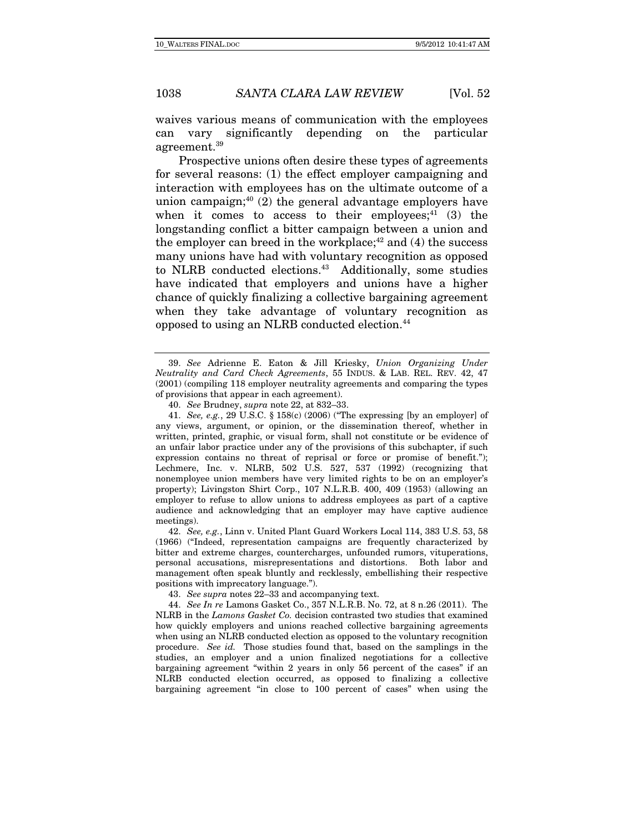waives various means of communication with the employees can vary significantly depending on the particular agreement.39

Prospective unions often desire these types of agreements for several reasons: (1) the effect employer campaigning and interaction with employees has on the ultimate outcome of a union campaign; $40(2)$  the general advantage employers have when it comes to access to their employees: $41$  (3) the longstanding conflict a bitter campaign between a union and the employer can breed in the workplace; $42$  and (4) the success many unions have had with voluntary recognition as opposed to NLRB conducted elections.<sup>43</sup> Additionally, some studies have indicated that employers and unions have a higher chance of quickly finalizing a collective bargaining agreement when they take advantage of voluntary recognition as opposed to using an NLRB conducted election.44

41. See, e.g., 29 U.S.C. § 158(c) (2006) ("The expressing [by an employer] of any views, argument, or opinion, or the dissemination thereof, whether in written, printed, graphic, or visual form, shall not constitute or be evidence of an unfair labor practice under any of the provisions of this subchapter, if such expression contains no threat of reprisal or force or promise of benefit."); Lechmere, Inc. v. NLRB, 502 U.S. 527, 537 (1992) (recognizing that nonemployee union members have very limited rights to be on an employer's property); Livingston Shirt Corp., 107 N.L.R.B. 400, 409 (1953) (allowing an employer to refuse to allow unions to address employees as part of a captive audience and acknowledging that an employer may have captive audience meetings).

42. See, e.g., Linn v. United Plant Guard Workers Local 114, 383 U.S. 53, 58 (1966) ("Indeed, representation campaigns are frequently characterized by bitter and extreme charges, countercharges, unfounded rumors, vituperations, personal accusations, misrepresentations and distortions. Both labor and management often speak bluntly and recklessly, embellishing their respective positions with imprecatory language.").

43. See supra notes 22–33 and accompanying text.

44. See In re Lamons Gasket Co., 357 N.L.R.B. No. 72, at 8 n.26 (2011). The NLRB in the Lamons Gasket Co. decision contrasted two studies that examined how quickly employers and unions reached collective bargaining agreements when using an NLRB conducted election as opposed to the voluntary recognition procedure. See id. Those studies found that, based on the samplings in the studies, an employer and a union finalized negotiations for a collective bargaining agreement "within 2 years in only 56 percent of the cases" if an NLRB conducted election occurred, as opposed to finalizing a collective bargaining agreement "in close to 100 percent of cases" when using the

<sup>39.</sup> See Adrienne E. Eaton & Jill Kriesky, Union Organizing Under Neutrality and Card Check Agreements, 55 INDUS. & LAB. REL. REV. 42, 47 (2001) (compiling 118 employer neutrality agreements and comparing the types of provisions that appear in each agreement).

<sup>40.</sup> See Brudney, supra note 22, at 832–33.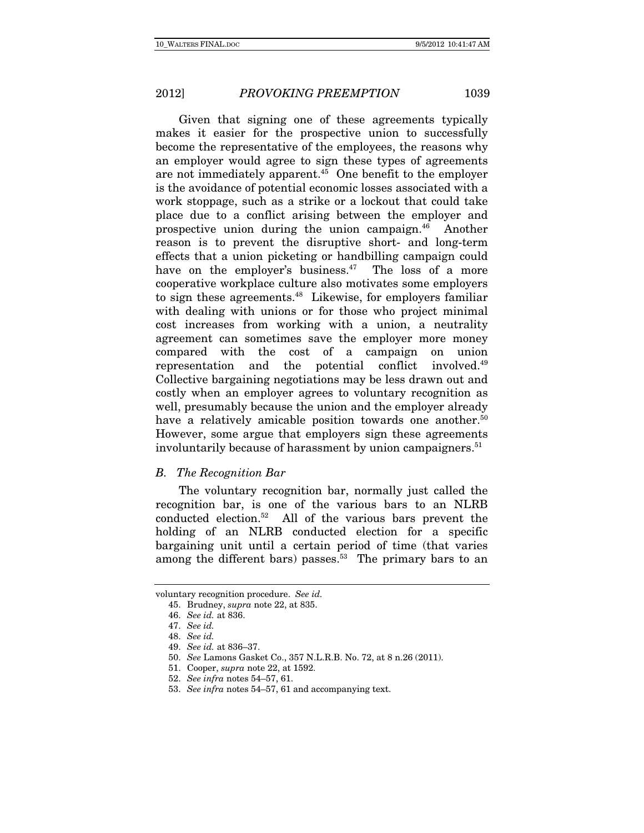Given that signing one of these agreements typically makes it easier for the prospective union to successfully become the representative of the employees, the reasons why an employer would agree to sign these types of agreements are not immediately apparent.45 One benefit to the employer is the avoidance of potential economic losses associated with a work stoppage, such as a strike or a lockout that could take place due to a conflict arising between the employer and prospective union during the union campaign.46 Another reason is to prevent the disruptive short- and long-term effects that a union picketing or handbilling campaign could have on the employer's business.<sup>47</sup> The loss of a more cooperative workplace culture also motivates some employers to sign these agreements.<sup>48</sup> Likewise, for employers familiar with dealing with unions or for those who project minimal cost increases from working with a union, a neutrality agreement can sometimes save the employer more money compared with the cost of a campaign on union representation and the potential conflict involved.49 Collective bargaining negotiations may be less drawn out and costly when an employer agrees to voluntary recognition as well, presumably because the union and the employer already have a relatively amicable position towards one another.<sup>50</sup> However, some argue that employers sign these agreements involuntarily because of harassment by union campaigners.<sup>51</sup>

#### B. The Recognition Bar

The voluntary recognition bar, normally just called the recognition bar, is one of the various bars to an NLRB conducted election.52 All of the various bars prevent the holding of an NLRB conducted election for a specific bargaining unit until a certain period of time (that varies among the different bars) passes.<sup>53</sup> The primary bars to an

voluntary recognition procedure. See id.

 <sup>45.</sup> Brudney, supra note 22, at 835.

<sup>46.</sup> See id. at 836.

<sup>47.</sup> See id.

<sup>48.</sup> See id.

<sup>49.</sup> See id. at 836–37.

<sup>50.</sup> See Lamons Gasket Co., 357 N.L.R.B. No. 72, at 8 n.26 (2011).

 <sup>51.</sup> Cooper, supra note 22, at 1592.

<sup>52.</sup> See infra notes 54–57, 61.

<sup>53.</sup> See infra notes 54–57, 61 and accompanying text.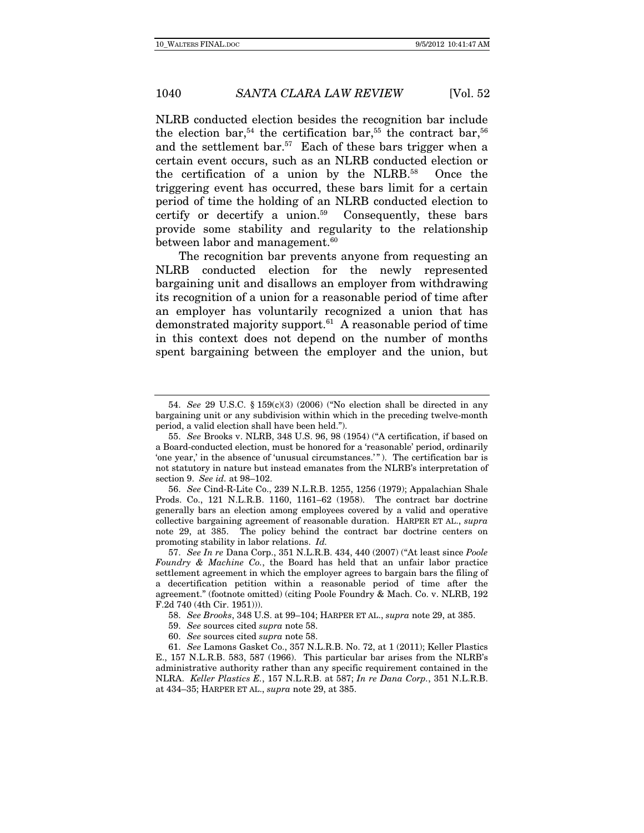NLRB conducted election besides the recognition bar include the election bar,<sup>54</sup> the certification bar,<sup>55</sup> the contract bar,<sup>56</sup> and the settlement bar.57 Each of these bars trigger when a certain event occurs, such as an NLRB conducted election or the certification of a union by the NLRB.58 Once the triggering event has occurred, these bars limit for a certain period of time the holding of an NLRB conducted election to certify or decertify a union. $59$  Consequently, these bars provide some stability and regularity to the relationship between labor and management.<sup>60</sup>

The recognition bar prevents anyone from requesting an NLRB conducted election for the newly represented bargaining unit and disallows an employer from withdrawing its recognition of a union for a reasonable period of time after an employer has voluntarily recognized a union that has demonstrated majority support.61 A reasonable period of time in this context does not depend on the number of months spent bargaining between the employer and the union, but

56. See Cind-R-Lite Co., 239 N.L.R.B. 1255, 1256 (1979); Appalachian Shale Prods. Co., 121 N.L.R.B. 1160, 1161–62 (1958). The contract bar doctrine generally bars an election among employees covered by a valid and operative collective bargaining agreement of reasonable duration. HARPER ET AL., supra note 29, at 385. The policy behind the contract bar doctrine centers on promoting stability in labor relations. Id.

<sup>54.</sup> See 29 U.S.C. § 159(c)(3) (2006) ("No election shall be directed in any bargaining unit or any subdivision within which in the preceding twelve-month period, a valid election shall have been held.").

<sup>55.</sup> See Brooks v. NLRB, 348 U.S. 96, 98 (1954) ("A certification, if based on a Board-conducted election, must be honored for a 'reasonable' period, ordinarily 'one year,' in the absence of 'unusual circumstances.'" ). The certification bar is not statutory in nature but instead emanates from the NLRB's interpretation of section 9. See id. at 98–102.

<sup>57.</sup> See In re Dana Corp., 351 N.L.R.B. 434, 440 (2007) ("At least since Poole Foundry & Machine Co., the Board has held that an unfair labor practice settlement agreement in which the employer agrees to bargain bars the filing of a decertification petition within a reasonable period of time after the agreement." (footnote omitted) (citing Poole Foundry & Mach. Co. v. NLRB, 192 F.2d 740 (4th Cir. 1951))).

<sup>58.</sup> See Brooks, 348 U.S. at 99–104; HARPER ET AL., supra note 29, at 385.

<sup>59.</sup> See sources cited supra note 58.

<sup>60.</sup> See sources cited supra note 58.

<sup>61.</sup> See Lamons Gasket Co., 357 N.L.R.B. No. 72, at 1 (2011); Keller Plastics E., 157 N.L.R.B. 583, 587 (1966). This particular bar arises from the NLRB's administrative authority rather than any specific requirement contained in the NLRA. Keller Plastics E., 157 N.L.R.B. at 587; In re Dana Corp., 351 N.L.R.B. at 434–35; HARPER ET AL., supra note 29, at 385.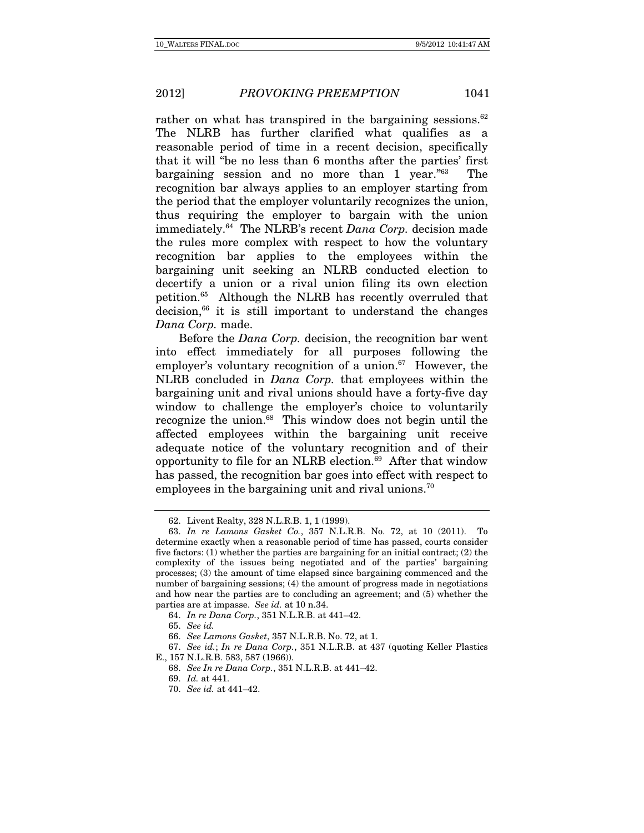rather on what has transpired in the bargaining sessions. $62$ The NLRB has further clarified what qualifies as a reasonable period of time in a recent decision, specifically that it will "be no less than 6 months after the parties' first bargaining session and no more than 1 year."63 The recognition bar always applies to an employer starting from the period that the employer voluntarily recognizes the union, thus requiring the employer to bargain with the union immediately.64 The NLRB's recent Dana Corp. decision made the rules more complex with respect to how the voluntary recognition bar applies to the employees within the bargaining unit seeking an NLRB conducted election to decertify a union or a rival union filing its own election petition.65 Although the NLRB has recently overruled that  $decision<sub>66</sub>$  it is still important to understand the changes Dana Corp. made.

Before the Dana Corp. decision, the recognition bar went into effect immediately for all purposes following the employer's voluntary recognition of a union. $67$  However, the NLRB concluded in Dana Corp. that employees within the bargaining unit and rival unions should have a forty-five day window to challenge the employer's choice to voluntarily recognize the union.<sup>68</sup> This window does not begin until the affected employees within the bargaining unit receive adequate notice of the voluntary recognition and of their opportunity to file for an NLRB election.69 After that window has passed, the recognition bar goes into effect with respect to employees in the bargaining unit and rival unions.<sup>70</sup>

<sup>62.</sup> Livent Realty, 328 N.L.R.B. 1, 1 (1999).

<sup>63.</sup> In re Lamons Gasket Co., 357 N.L.R.B. No. 72, at 10 (2011). To determine exactly when a reasonable period of time has passed, courts consider five factors: (1) whether the parties are bargaining for an initial contract; (2) the complexity of the issues being negotiated and of the parties' bargaining processes; (3) the amount of time elapsed since bargaining commenced and the number of bargaining sessions; (4) the amount of progress made in negotiations and how near the parties are to concluding an agreement; and (5) whether the parties are at impasse. See id. at 10 n.34.

<sup>64.</sup> In re Dana Corp., 351 N.L.R.B. at 441–42.

<sup>65.</sup> See id.

<sup>66.</sup> See Lamons Gasket, 357 N.L.R.B. No. 72, at 1.

<sup>67.</sup> See id.; In re Dana Corp., 351 N.L.R.B. at 437 (quoting Keller Plastics E., 157 N.L.R.B. 583, 587 (1966)).

<sup>68.</sup> See In re Dana Corp., 351 N.L.R.B. at 441–42.

<sup>69.</sup> Id. at 441.

<sup>70.</sup> See id. at 441–42.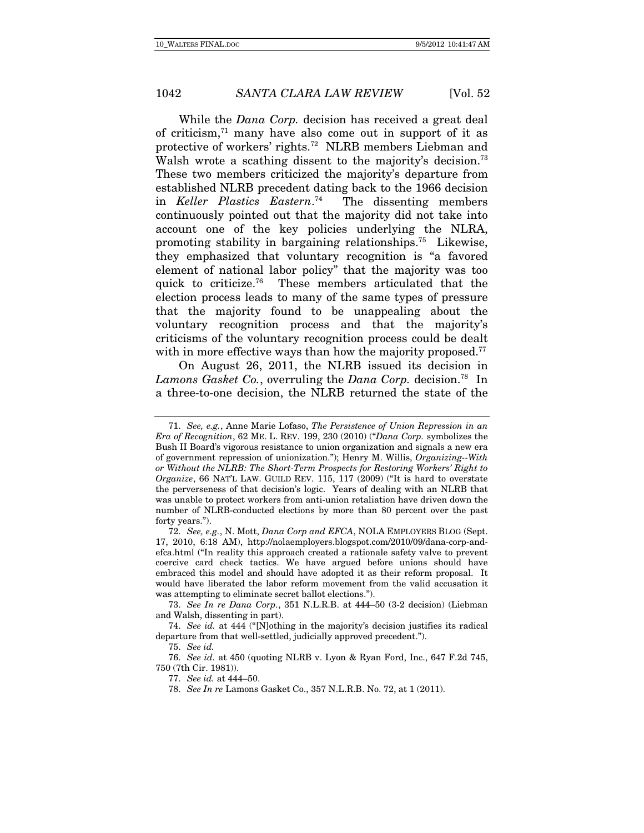While the *Dana Corp.* decision has received a great deal of criticism, $71$  many have also come out in support of it as protective of workers' rights.72 NLRB members Liebman and Walsh wrote a scathing dissent to the majority's decision.<sup>73</sup> These two members criticized the majority's departure from established NLRB precedent dating back to the 1966 decision in Keller Plastics Eastern. The dissenting members continuously pointed out that the majority did not take into account one of the key policies underlying the NLRA, promoting stability in bargaining relationships.75 Likewise, they emphasized that voluntary recognition is "a favored element of national labor policy" that the majority was too quick to criticize.76 These members articulated that the election process leads to many of the same types of pressure that the majority found to be unappealing about the voluntary recognition process and that the majority's criticisms of the voluntary recognition process could be dealt with in more effective ways than how the majority proposed.<sup>77</sup>

On August 26, 2011, the NLRB issued its decision in Lamons Gasket Co., overruling the Dana Corp. decision.<sup>78</sup> In a three-to-one decision, the NLRB returned the state of the

<sup>71.</sup> See, e.g., Anne Marie Lofaso, The Persistence of Union Repression in an Era of Recognition, 62 ME. L. REV. 199, 230 (2010) ("Dana Corp. symbolizes the Bush II Board's vigorous resistance to union organization and signals a new era of government repression of unionization."); Henry M. Willis, Organizing--With or Without the NLRB: The Short-Term Prospects for Restoring Workers' Right to Organize, 66 NAT'L LAW. GUILD REV. 115, 117 (2009) ("It is hard to overstate the perverseness of that decision's logic. Years of dealing with an NLRB that was unable to protect workers from anti-union retaliation have driven down the number of NLRB-conducted elections by more than 80 percent over the past forty years.").

<sup>72.</sup> See, e.g., N. Mott, Dana Corp and EFCA, NOLA EMPLOYERS BLOG (Sept. 17, 2010, 6:18 AM), http://nolaemployers.blogspot.com/2010/09/dana-corp-andefca.html ("In reality this approach created a rationale safety valve to prevent coercive card check tactics. We have argued before unions should have embraced this model and should have adopted it as their reform proposal. It would have liberated the labor reform movement from the valid accusation it was attempting to eliminate secret ballot elections.").

<sup>73.</sup> See In re Dana Corp., 351 N.L.R.B. at 444–50 (3-2 decision) (Liebman and Walsh, dissenting in part).

<sup>74.</sup> See id. at 444 ("[N]othing in the majority's decision justifies its radical departure from that well-settled, judicially approved precedent.").

<sup>75.</sup> See id.

<sup>76.</sup> See id. at 450 (quoting NLRB v. Lyon & Ryan Ford, Inc., 647 F.2d 745, 750 (7th Cir. 1981)).

<sup>77.</sup> See id. at 444–50.

<sup>78.</sup> See In re Lamons Gasket Co., 357 N.L.R.B. No. 72, at 1 (2011).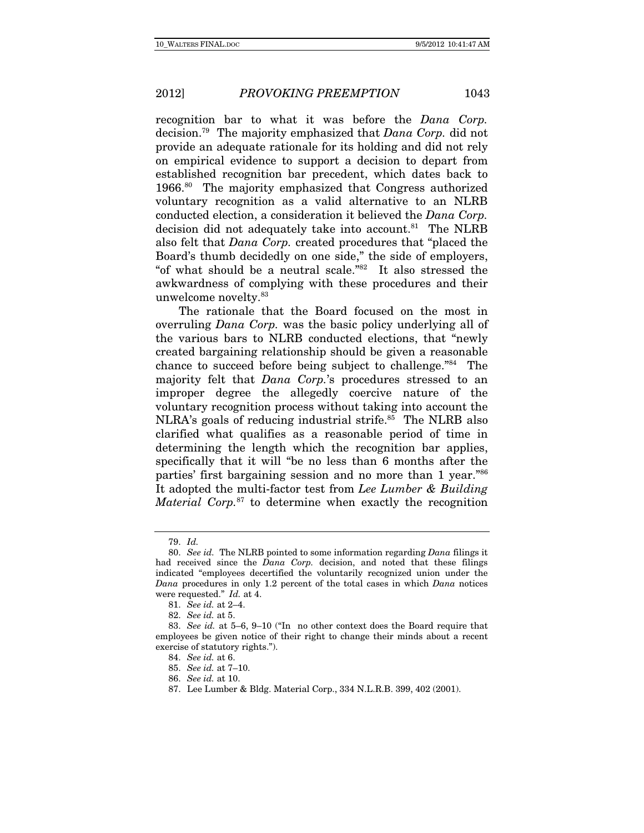recognition bar to what it was before the Dana Corp. decision.79 The majority emphasized that Dana Corp. did not provide an adequate rationale for its holding and did not rely on empirical evidence to support a decision to depart from established recognition bar precedent, which dates back to 1966.80 The majority emphasized that Congress authorized voluntary recognition as a valid alternative to an NLRB conducted election, a consideration it believed the Dana Corp. decision did not adequately take into account.<sup>81</sup> The NLRB also felt that Dana Corp. created procedures that "placed the Board's thumb decidedly on one side," the side of employers, "of what should be a neutral scale."82 It also stressed the awkwardness of complying with these procedures and their unwelcome novelty.83

The rationale that the Board focused on the most in overruling Dana Corp. was the basic policy underlying all of the various bars to NLRB conducted elections, that "newly created bargaining relationship should be given a reasonable chance to succeed before being subject to challenge."84 The majority felt that Dana Corp.'s procedures stressed to an improper degree the allegedly coercive nature of the voluntary recognition process without taking into account the NLRA's goals of reducing industrial strife.<sup>85</sup> The NLRB also clarified what qualifies as a reasonable period of time in determining the length which the recognition bar applies, specifically that it will "be no less than 6 months after the parties' first bargaining session and no more than 1 year."86 It adopted the multi-factor test from Lee Lumber & Building *Material Corp.*<sup>87</sup> to determine when exactly the recognition

<sup>79.</sup> Id.

<sup>80.</sup> See id. The NLRB pointed to some information regarding Dana filings it had received since the *Dana Corp.* decision, and noted that these filings indicated "employees decertified the voluntarily recognized union under the Dana procedures in only 1.2 percent of the total cases in which Dana notices were requested." Id. at 4.

<sup>81.</sup> See id. at 2–4.

<sup>82.</sup> See id. at 5.

<sup>83.</sup> See id. at 5–6, 9–10 ("In no other context does the Board require that employees be given notice of their right to change their minds about a recent exercise of statutory rights.").

<sup>84.</sup> See id. at 6.

<sup>85.</sup> See id. at 7–10.

<sup>86.</sup> See id. at 10.

 <sup>87.</sup> Lee Lumber & Bldg. Material Corp., 334 N.L.R.B. 399, 402 (2001).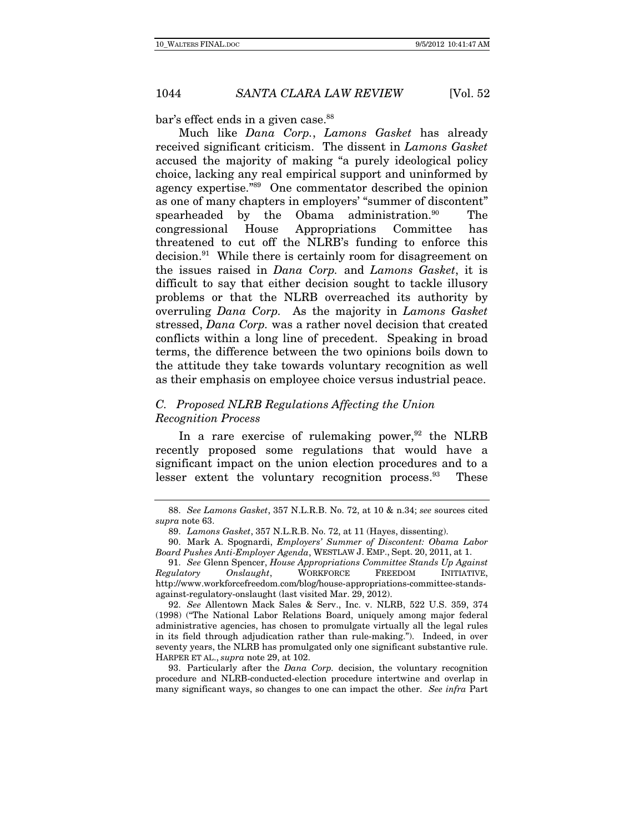bar's effect ends in a given case.<sup>88</sup>

Much like Dana Corp., Lamons Gasket has already received significant criticism. The dissent in Lamons Gasket accused the majority of making "a purely ideological policy choice, lacking any real empirical support and uninformed by agency expertise."89 One commentator described the opinion as one of many chapters in employers' "summer of discontent" spearheaded by the Obama administration.<sup>90</sup> The congressional House Appropriations Committee has threatened to cut off the NLRB's funding to enforce this decision.91 While there is certainly room for disagreement on the issues raised in Dana Corp. and Lamons Gasket, it is difficult to say that either decision sought to tackle illusory problems or that the NLRB overreached its authority by overruling Dana Corp. As the majority in Lamons Gasket stressed, Dana Corp. was a rather novel decision that created conflicts within a long line of precedent. Speaking in broad terms, the difference between the two opinions boils down to the attitude they take towards voluntary recognition as well as their emphasis on employee choice versus industrial peace.

# C. Proposed NLRB Regulations Affecting the Union Recognition Process

In a rare exercise of rulemaking power,  $92$  the NLRB recently proposed some regulations that would have a significant impact on the union election procedures and to a lesser extent the voluntary recognition process.<sup>93</sup> These

<sup>88.</sup> See Lamons Gasket, 357 N.L.R.B. No. 72, at 10 & n.34; see sources cited supra note 63.

<sup>89.</sup> Lamons Gasket, 357 N.L.R.B. No. 72, at 11 (Hayes, dissenting).

 <sup>90.</sup> Mark A. Spognardi, Employers' Summer of Discontent: Obama Labor Board Pushes Anti-Employer Agenda, WESTLAW J. EMP., Sept. 20, 2011, at 1.

<sup>91.</sup> See Glenn Spencer, House Appropriations Committee Stands Up Against Regulatory Onslaught, WORKFORCE FREEDOM INITIATIVE, http://www.workforcefreedom.com/blog/house-appropriations-committee-standsagainst-regulatory-onslaught (last visited Mar. 29, 2012).

<sup>92.</sup> See Allentown Mack Sales & Serv., Inc. v. NLRB, 522 U.S. 359, 374 (1998) ("The National Labor Relations Board, uniquely among major federal administrative agencies, has chosen to promulgate virtually all the legal rules in its field through adjudication rather than rule-making."). Indeed, in over seventy years, the NLRB has promulgated only one significant substantive rule. HARPER ET AL., supra note 29, at 102.

 <sup>93.</sup> Particularly after the Dana Corp. decision, the voluntary recognition procedure and NLRB-conducted-election procedure intertwine and overlap in many significant ways, so changes to one can impact the other. See infra Part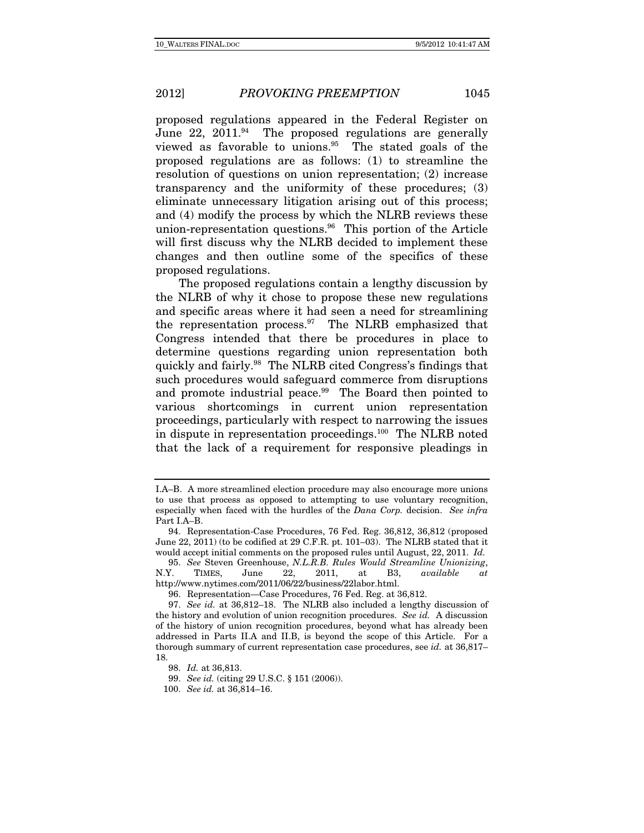proposed regulations appeared in the Federal Register on June  $22$ ,  $2011$ .<sup>94</sup> The proposed regulations are generally viewed as favorable to unions.95 The stated goals of the proposed regulations are as follows: (1) to streamline the resolution of questions on union representation; (2) increase transparency and the uniformity of these procedures; (3) eliminate unnecessary litigation arising out of this process; and (4) modify the process by which the NLRB reviews these union-representation questions.<sup>96</sup> This portion of the Article will first discuss why the NLRB decided to implement these changes and then outline some of the specifics of these proposed regulations.

The proposed regulations contain a lengthy discussion by the NLRB of why it chose to propose these new regulations and specific areas where it had seen a need for streamlining the representation process. $97$  The NLRB emphasized that Congress intended that there be procedures in place to determine questions regarding union representation both quickly and fairly.98 The NLRB cited Congress's findings that such procedures would safeguard commerce from disruptions and promote industrial peace.<sup>99</sup> The Board then pointed to various shortcomings in current union representation proceedings, particularly with respect to narrowing the issues in dispute in representation proceedings.100 The NLRB noted that the lack of a requirement for responsive pleadings in

I.A–B. A more streamlined election procedure may also encourage more unions to use that process as opposed to attempting to use voluntary recognition, especially when faced with the hurdles of the Dana Corp. decision. See infra Part I.A–B.

 <sup>94.</sup> Representation-Case Procedures, 76 Fed. Reg. 36,812, 36,812 (proposed June 22, 2011) (to be codified at 29 C.F.R. pt. 101–03). The NLRB stated that it would accept initial comments on the proposed rules until August, 22, 2011. Id.

<sup>95.</sup> See Steven Greenhouse, N.L.R.B. Rules Would Streamline Unionizing, N.Y. TIMES, June 22, 2011, at B3, available at http://www.nytimes.com/2011/06/22/business/22labor.html.

 <sup>96.</sup> Representation—Case Procedures, 76 Fed. Reg. at 36,812.

<sup>97.</sup> See id. at 36,812–18. The NLRB also included a lengthy discussion of the history and evolution of union recognition procedures. See id. A discussion of the history of union recognition procedures, beyond what has already been addressed in Parts II.A and II.B, is beyond the scope of this Article. For a thorough summary of current representation case procedures, see id. at 36,817– 18.

<sup>98.</sup> Id. at 36,813.

<sup>99.</sup> See id. (citing 29 U.S.C. § 151 (2006)).

<sup>100.</sup> See id. at 36,814–16.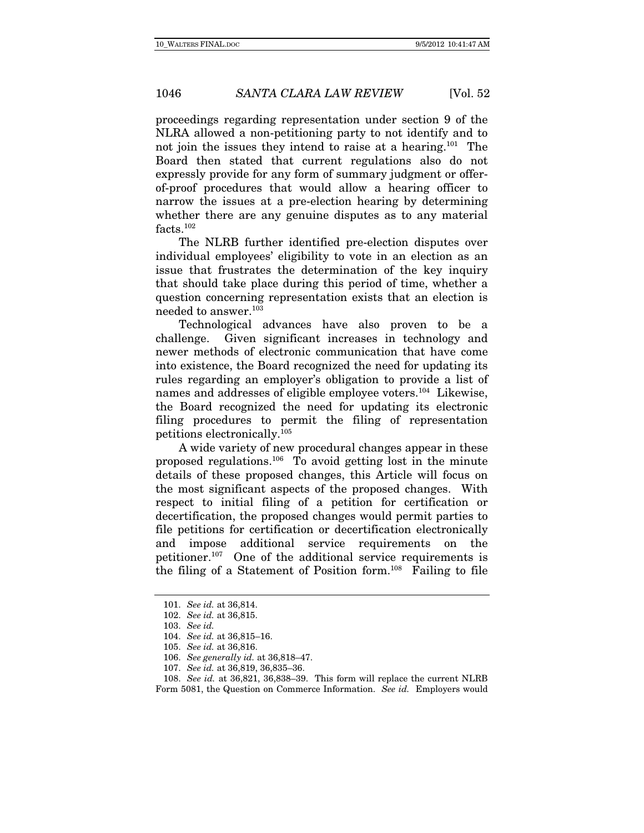proceedings regarding representation under section 9 of the NLRA allowed a non-petitioning party to not identify and to not join the issues they intend to raise at a hearing.101 The Board then stated that current regulations also do not expressly provide for any form of summary judgment or offerof-proof procedures that would allow a hearing officer to narrow the issues at a pre-election hearing by determining whether there are any genuine disputes as to any material facts.102

The NLRB further identified pre-election disputes over individual employees' eligibility to vote in an election as an issue that frustrates the determination of the key inquiry that should take place during this period of time, whether a question concerning representation exists that an election is needed to answer.103

Technological advances have also proven to be a challenge. Given significant increases in technology and newer methods of electronic communication that have come into existence, the Board recognized the need for updating its rules regarding an employer's obligation to provide a list of names and addresses of eligible employee voters.104 Likewise, the Board recognized the need for updating its electronic filing procedures to permit the filing of representation petitions electronically.105

A wide variety of new procedural changes appear in these proposed regulations.106 To avoid getting lost in the minute details of these proposed changes, this Article will focus on the most significant aspects of the proposed changes. With respect to initial filing of a petition for certification or decertification, the proposed changes would permit parties to file petitions for certification or decertification electronically and impose additional service requirements on the petitioner.107 One of the additional service requirements is the filing of a Statement of Position form.108 Failing to file

<sup>101.</sup> See id. at 36,814.

<sup>102.</sup> See id. at 36,815.

<sup>103.</sup> See id.

<sup>104.</sup> See id. at 36,815–16.

<sup>105.</sup> See id. at 36,816.

<sup>106.</sup> See generally id. at 36,818–47.

<sup>107.</sup> See id. at 36,819, 36,835–36.

<sup>108.</sup> See id. at 36,821, 36,838–39. This form will replace the current NLRB Form 5081, the Question on Commerce Information. See id. Employers would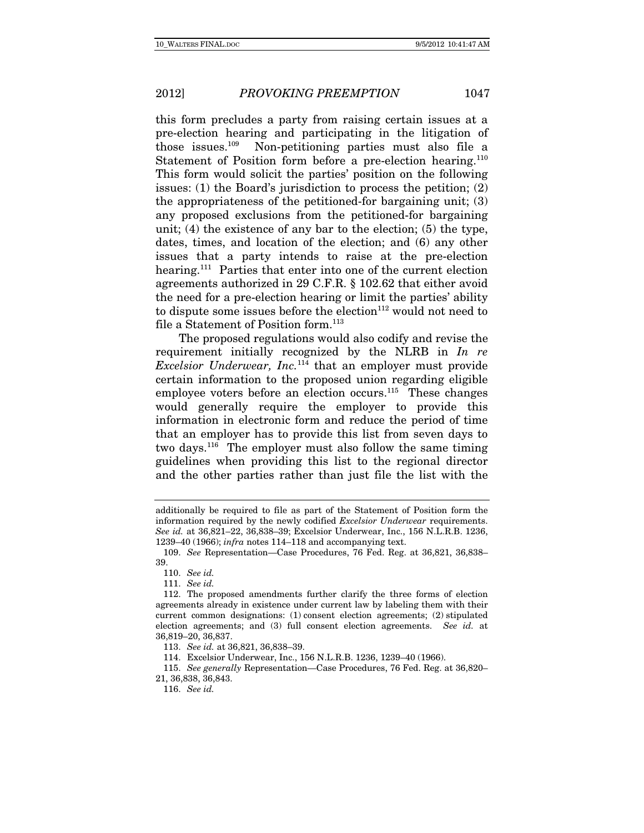this form precludes a party from raising certain issues at a pre-election hearing and participating in the litigation of those issues.109 Non-petitioning parties must also file a Statement of Position form before a pre-election hearing.<sup>110</sup> This form would solicit the parties' position on the following issues: (1) the Board's jurisdiction to process the petition; (2) the appropriateness of the petitioned-for bargaining unit; (3) any proposed exclusions from the petitioned-for bargaining unit; (4) the existence of any bar to the election; (5) the type, dates, times, and location of the election; and (6) any other issues that a party intends to raise at the pre-election hearing.<sup>111</sup> Parties that enter into one of the current election agreements authorized in 29 C.F.R. § 102.62 that either avoid the need for a pre-election hearing or limit the parties' ability to dispute some issues before the election $112$  would not need to file a Statement of Position form.<sup>113</sup>

The proposed regulations would also codify and revise the requirement initially recognized by the NLRB in  $In$  re *Excelsior Underwear, Inc.*<sup>114</sup> that an employer must provide certain information to the proposed union regarding eligible employee voters before an election occurs. $115$  These changes would generally require the employer to provide this information in electronic form and reduce the period of time that an employer has to provide this list from seven days to two days.116 The employer must also follow the same timing guidelines when providing this list to the regional director and the other parties rather than just file the list with the

additionally be required to file as part of the Statement of Position form the information required by the newly codified Excelsior Underwear requirements. See id. at 36,821–22, 36,838–39; Excelsior Underwear, Inc., 156 N.L.R.B. 1236, 1239–40 (1966); infra notes 114–118 and accompanying text.

<sup>109.</sup> See Representation—Case Procedures, 76 Fed. Reg. at 36,821, 36,838– 39.

<sup>110.</sup> See id.

<sup>111.</sup> See id.

 <sup>112.</sup> The proposed amendments further clarify the three forms of election agreements already in existence under current law by labeling them with their current common designations: (1) consent election agreements; (2) stipulated election agreements; and (3) full consent election agreements. See id. at 36,819–20, 36,837.

<sup>113.</sup> See id. at 36,821, 36,838–39.

 <sup>114.</sup> Excelsior Underwear, Inc., 156 N.L.R.B. 1236, 1239–40 (1966).

<sup>115.</sup> See generally Representation—Case Procedures, 76 Fed. Reg. at 36,820– 21, 36,838, 36,843.

<sup>116.</sup> See id.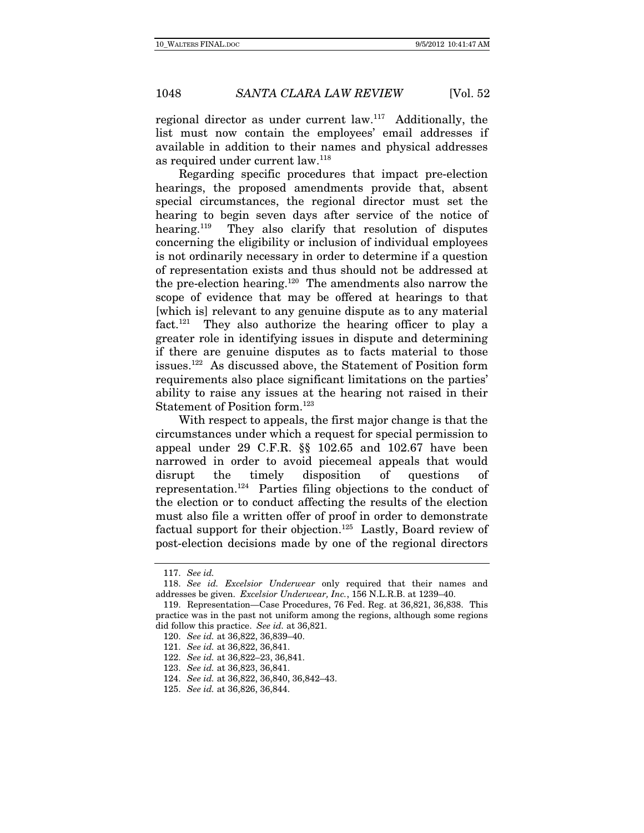regional director as under current law.117 Additionally, the list must now contain the employees' email addresses if available in addition to their names and physical addresses as required under current law.118

Regarding specific procedures that impact pre-election hearings, the proposed amendments provide that, absent special circumstances, the regional director must set the hearing to begin seven days after service of the notice of hearing.119 They also clarify that resolution of disputes concerning the eligibility or inclusion of individual employees is not ordinarily necessary in order to determine if a question of representation exists and thus should not be addressed at the pre-election hearing.120 The amendments also narrow the scope of evidence that may be offered at hearings to that [which is] relevant to any genuine dispute as to any material fact.<sup>121</sup> They also authorize the hearing officer to play a greater role in identifying issues in dispute and determining if there are genuine disputes as to facts material to those issues.122 As discussed above, the Statement of Position form requirements also place significant limitations on the parties' ability to raise any issues at the hearing not raised in their Statement of Position form.<sup>123</sup>

With respect to appeals, the first major change is that the circumstances under which a request for special permission to appeal under 29 C.F.R. §§ 102.65 and 102.67 have been narrowed in order to avoid piecemeal appeals that would disrupt the timely disposition of questions of representation.124 Parties filing objections to the conduct of the election or to conduct affecting the results of the election must also file a written offer of proof in order to demonstrate factual support for their objection.<sup>125</sup> Lastly, Board review of post-election decisions made by one of the regional directors

<sup>117.</sup> See id.

<sup>118.</sup> See id. Excelsior Underwear only required that their names and addresses be given. Excelsior Underwear, Inc., 156 N.L.R.B. at 1239–40.

<sup>119.</sup> Representation—Case Procedures, 76 Fed. Reg. at 36,821, 36,838. This practice was in the past not uniform among the regions, although some regions did follow this practice. See id. at 36,821.

<sup>120.</sup> See id. at 36,822, 36,839–40.

<sup>121.</sup> See id. at 36,822, 36,841.

<sup>122.</sup> See id. at 36,822–23, 36,841.

<sup>123.</sup> See id. at 36,823, 36,841.

<sup>124.</sup> See id. at 36,822, 36,840, 36,842–43.

<sup>125.</sup> See id. at 36,826, 36,844.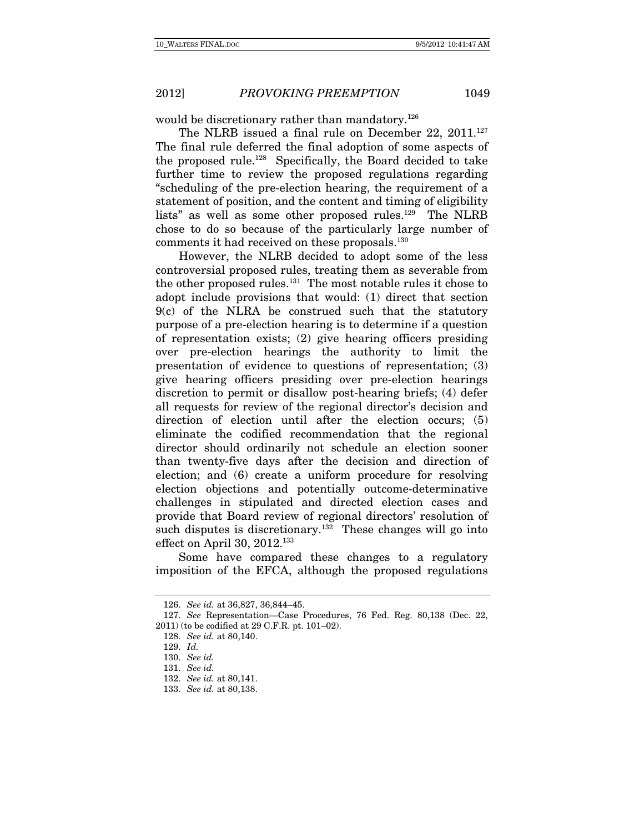would be discretionary rather than mandatory.<sup>126</sup>

The NLRB issued a final rule on December 22, 2011.<sup>127</sup> The final rule deferred the final adoption of some aspects of the proposed rule.128 Specifically, the Board decided to take further time to review the proposed regulations regarding "scheduling of the pre-election hearing, the requirement of a statement of position, and the content and timing of eligibility lists" as well as some other proposed rules.<sup>129</sup> The NLRB chose to do so because of the particularly large number of comments it had received on these proposals.130

However, the NLRB decided to adopt some of the less controversial proposed rules, treating them as severable from the other proposed rules.131 The most notable rules it chose to adopt include provisions that would: (1) direct that section 9(c) of the NLRA be construed such that the statutory purpose of a pre-election hearing is to determine if a question of representation exists; (2) give hearing officers presiding over pre-election hearings the authority to limit the presentation of evidence to questions of representation; (3) give hearing officers presiding over pre-election hearings discretion to permit or disallow post-hearing briefs; (4) defer all requests for review of the regional director's decision and direction of election until after the election occurs; (5) eliminate the codified recommendation that the regional director should ordinarily not schedule an election sooner than twenty-five days after the decision and direction of election; and (6) create a uniform procedure for resolving election objections and potentially outcome-determinative challenges in stipulated and directed election cases and provide that Board review of regional directors' resolution of such disputes is discretionary.<sup>132</sup> These changes will go into effect on April 30, 2012.<sup>133</sup>

Some have compared these changes to a regulatory imposition of the EFCA, although the proposed regulations

<sup>126.</sup> See id. at 36,827, 36,844–45.

<sup>127.</sup> See Representation—Case Procedures, 76 Fed. Reg. 80,138 (Dec. 22, 2011) (to be codified at 29 C.F.R. pt. 101–02).

<sup>128.</sup> See id. at 80,140.

<sup>129.</sup> Id.

<sup>130.</sup> See id.

<sup>131.</sup> See id.

<sup>132.</sup> See id. at 80,141.

<sup>133.</sup> See id. at 80,138.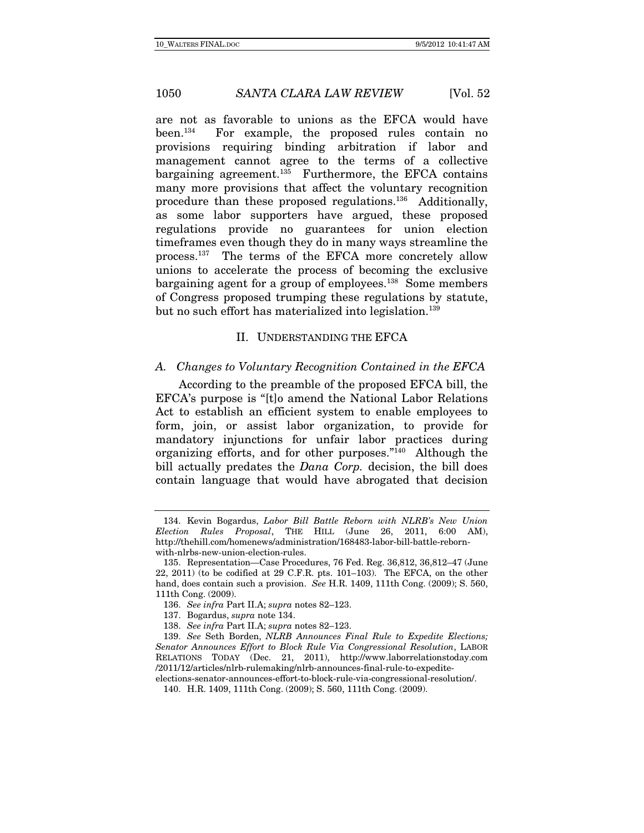are not as favorable to unions as the EFCA would have been.134 For example, the proposed rules contain no provisions requiring binding arbitration if labor and management cannot agree to the terms of a collective bargaining agreement. $135$  Furthermore, the EFCA contains many more provisions that affect the voluntary recognition procedure than these proposed regulations.136 Additionally, as some labor supporters have argued, these proposed regulations provide no guarantees for union election timeframes even though they do in many ways streamline the process.137 The terms of the EFCA more concretely allow unions to accelerate the process of becoming the exclusive bargaining agent for a group of employees.<sup>138</sup> Some members of Congress proposed trumping these regulations by statute, but no such effort has materialized into legislation.<sup>139</sup>

## II. UNDERSTANDING THE EFCA

#### A. Changes to Voluntary Recognition Contained in the EFCA

According to the preamble of the proposed EFCA bill, the EFCA's purpose is "[t]o amend the National Labor Relations Act to establish an efficient system to enable employees to form, join, or assist labor organization, to provide for mandatory injunctions for unfair labor practices during organizing efforts, and for other purposes."140 Although the bill actually predates the *Dana Corp*. decision, the bill does contain language that would have abrogated that decision

 <sup>134.</sup> Kevin Bogardus, Labor Bill Battle Reborn with NLRB's New Union Election Rules Proposal, THE HILL (June 26, 2011, 6:00 AM), http://thehill.com/homenews/administration/168483-labor-bill-battle-rebornwith-nlrbs-new-union-election-rules.

 <sup>135.</sup> Representation—Case Procedures, 76 Fed. Reg. 36,812, 36,812–47 (June 22, 2011) (to be codified at 29 C.F.R. pts. 101–103). The EFCA, on the other hand, does contain such a provision. See H.R. 1409, 111th Cong. (2009); S. 560, 111th Cong. (2009).

<sup>136.</sup> See infra Part II.A; supra notes 82–123.

 <sup>137.</sup> Bogardus, supra note 134.

<sup>138.</sup> See infra Part II.A; supra notes 82–123.

<sup>139.</sup> See Seth Borden, NLRB Announces Final Rule to Expedite Elections; Senator Announces Effort to Block Rule Via Congressional Resolution, LABOR RELATIONS TODAY (Dec. 21, 2011), http://www.laborrelationstoday.com /2011/12/articles/nlrb-rulemaking/nlrb-announces-final-rule-to-expedite-

elections-senator-announces-effort-to-block-rule-via-congressional-resolution/.

 <sup>140.</sup> H.R. 1409, 111th Cong. (2009); S. 560, 111th Cong. (2009).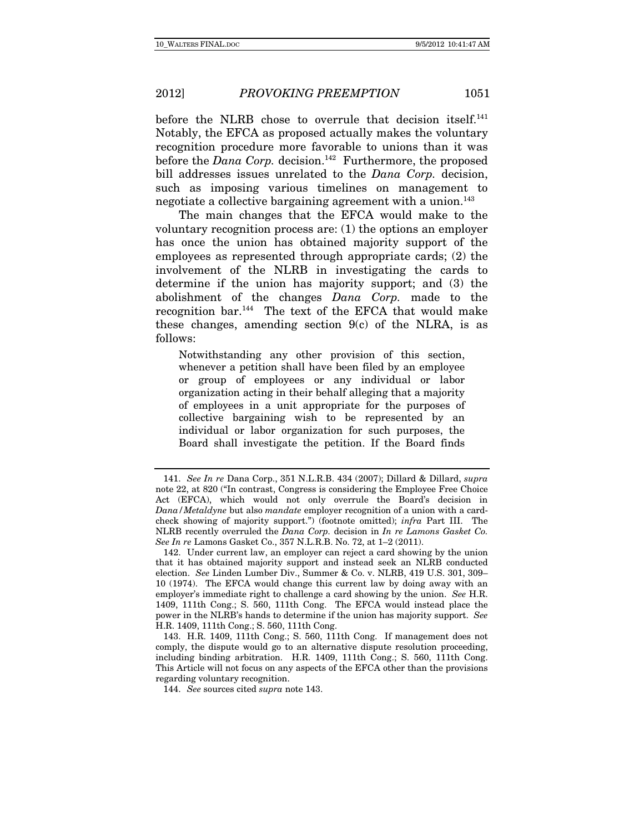before the NLRB chose to overrule that decision itself.<sup>141</sup> Notably, the EFCA as proposed actually makes the voluntary recognition procedure more favorable to unions than it was before the  $Dana\;Corp.$  decision.<sup>142</sup> Furthermore, the proposed bill addresses issues unrelated to the *Dana Corp.* decision, such as imposing various timelines on management to negotiate a collective bargaining agreement with a union.<sup>143</sup>

The main changes that the EFCA would make to the voluntary recognition process are: (1) the options an employer has once the union has obtained majority support of the employees as represented through appropriate cards; (2) the involvement of the NLRB in investigating the cards to determine if the union has majority support; and (3) the abolishment of the changes Dana Corp. made to the recognition bar.144 The text of the EFCA that would make these changes, amending section  $9(c)$  of the NLRA, is as follows:

Notwithstanding any other provision of this section, whenever a petition shall have been filed by an employee or group of employees or any individual or labor organization acting in their behalf alleging that a majority of employees in a unit appropriate for the purposes of collective bargaining wish to be represented by an individual or labor organization for such purposes, the Board shall investigate the petition. If the Board finds

<sup>141.</sup> See In re Dana Corp., 351 N.L.R.B. 434 (2007); Dillard & Dillard, supra note 22, at 820 ("In contrast, Congress is considering the Employee Free Choice Act (EFCA), which would not only overrule the Board's decision in Dana/Metaldyne but also mandate employer recognition of a union with a cardcheck showing of majority support.") (footnote omitted); infra Part III. The NLRB recently overruled the Dana Corp. decision in In re Lamons Gasket Co. See In re Lamons Gasket Co., 357 N.L.R.B. No. 72, at 1–2 (2011).

 <sup>142.</sup> Under current law, an employer can reject a card showing by the union that it has obtained majority support and instead seek an NLRB conducted election. See Linden Lumber Div., Summer & Co. v. NLRB, 419 U.S. 301, 309– 10 (1974). The EFCA would change this current law by doing away with an employer's immediate right to challenge a card showing by the union. See H.R. 1409, 111th Cong.; S. 560, 111th Cong. The EFCA would instead place the power in the NLRB's hands to determine if the union has majority support. See H.R. 1409, 111th Cong.; S. 560, 111th Cong.

 <sup>143.</sup> H.R. 1409, 111th Cong.; S. 560, 111th Cong. If management does not comply, the dispute would go to an alternative dispute resolution proceeding, including binding arbitration. H.R. 1409, 111th Cong.; S. 560, 111th Cong. This Article will not focus on any aspects of the EFCA other than the provisions regarding voluntary recognition.

<sup>144.</sup> See sources cited supra note 143.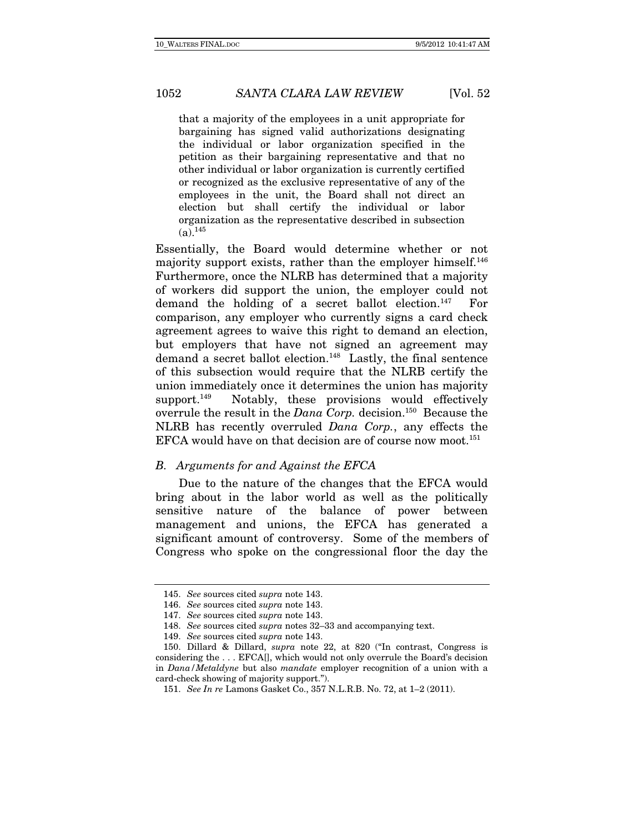that a majority of the employees in a unit appropriate for bargaining has signed valid authorizations designating the individual or labor organization specified in the petition as their bargaining representative and that no other individual or labor organization is currently certified or recognized as the exclusive representative of any of the employees in the unit, the Board shall not direct an election but shall certify the individual or labor organization as the representative described in subsection  $(a)$ <sup>145</sup>

Essentially, the Board would determine whether or not majority support exists, rather than the employer himself.<sup>146</sup> Furthermore, once the NLRB has determined that a majority of workers did support the union, the employer could not demand the holding of a secret ballot election.<sup>147</sup> For comparison, any employer who currently signs a card check agreement agrees to waive this right to demand an election, but employers that have not signed an agreement may demand a secret ballot election.<sup>148</sup> Lastly, the final sentence of this subsection would require that the NLRB certify the union immediately once it determines the union has majority support.<sup>149</sup> Notably, these provisions would effectively overrule the result in the *Dana Corp.* decision.<sup>150</sup> Because the NLRB has recently overruled Dana Corp., any effects the EFCA would have on that decision are of course now moot.<sup>151</sup>

### B. Arguments for and Against the EFCA

Due to the nature of the changes that the EFCA would bring about in the labor world as well as the politically sensitive nature of the balance of power between management and unions, the EFCA has generated a significant amount of controversy. Some of the members of Congress who spoke on the congressional floor the day the

<sup>145.</sup> See sources cited supra note 143.

<sup>146.</sup> See sources cited supra note 143.

<sup>147.</sup> See sources cited supra note 143.

<sup>148.</sup> See sources cited supra notes 32–33 and accompanying text.

<sup>149.</sup> See sources cited supra note 143.

 <sup>150.</sup> Dillard & Dillard, supra note 22, at 820 ("In contrast, Congress is considering the . . . EFCA[], which would not only overrule the Board's decision in Dana/Metaldyne but also mandate employer recognition of a union with a card-check showing of majority support.").

<sup>151.</sup> See In re Lamons Gasket Co., 357 N.L.R.B. No. 72, at 1–2 (2011).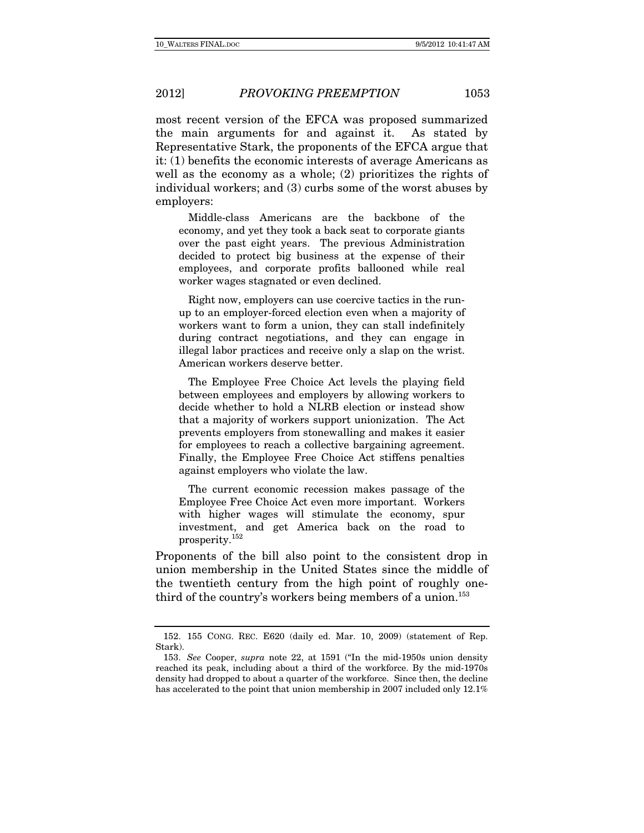most recent version of the EFCA was proposed summarized the main arguments for and against it. As stated by Representative Stark, the proponents of the EFCA argue that it: (1) benefits the economic interests of average Americans as well as the economy as a whole; (2) prioritizes the rights of individual workers; and (3) curbs some of the worst abuses by employers:

 Middle-class Americans are the backbone of the economy, and yet they took a back seat to corporate giants over the past eight years. The previous Administration decided to protect big business at the expense of their employees, and corporate profits ballooned while real worker wages stagnated or even declined.

 Right now, employers can use coercive tactics in the runup to an employer-forced election even when a majority of workers want to form a union, they can stall indefinitely during contract negotiations, and they can engage in illegal labor practices and receive only a slap on the wrist. American workers deserve better.

 The Employee Free Choice Act levels the playing field between employees and employers by allowing workers to decide whether to hold a NLRB election or instead show that a majority of workers support unionization. The Act prevents employers from stonewalling and makes it easier for employees to reach a collective bargaining agreement. Finally, the Employee Free Choice Act stiffens penalties against employers who violate the law.

 The current economic recession makes passage of the Employee Free Choice Act even more important. Workers with higher wages will stimulate the economy, spur investment, and get America back on the road to prosperity.152

Proponents of the bill also point to the consistent drop in union membership in the United States since the middle of the twentieth century from the high point of roughly onethird of the country's workers being members of a union.<sup>153</sup>

 <sup>152. 155</sup> CONG. REC. E620 (daily ed. Mar. 10, 2009) (statement of Rep. Stark).

<sup>153.</sup> See Cooper, supra note 22, at 1591 ("In the mid-1950s union density reached its peak, including about a third of the workforce. By the mid-1970s density had dropped to about a quarter of the workforce. Since then, the decline has accelerated to the point that union membership in 2007 included only 12.1%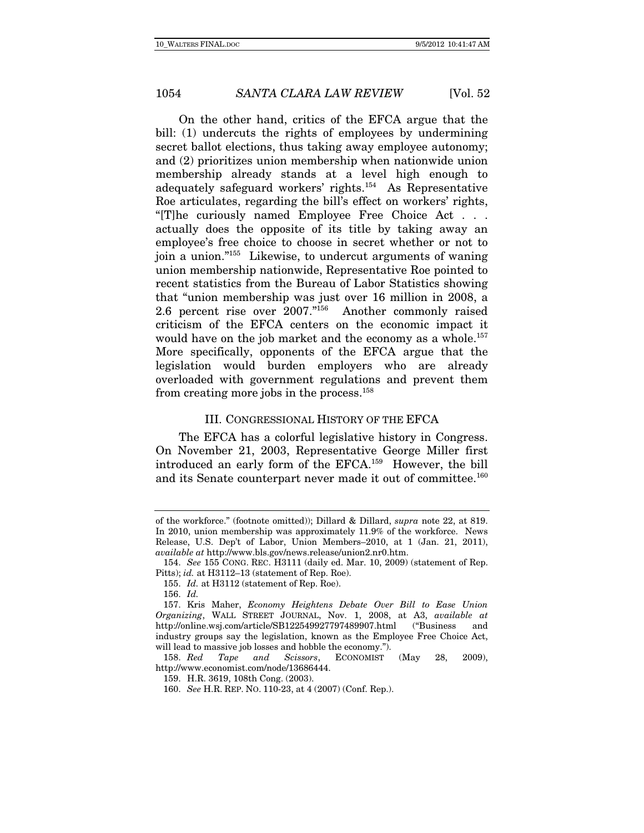On the other hand, critics of the EFCA argue that the bill: (1) undercuts the rights of employees by undermining secret ballot elections, thus taking away employee autonomy; and (2) prioritizes union membership when nationwide union membership already stands at a level high enough to adequately safeguard workers' rights.154 As Representative Roe articulates, regarding the bill's effect on workers' rights, "[T]he curiously named Employee Free Choice Act . . . actually does the opposite of its title by taking away an employee's free choice to choose in secret whether or not to join a union."155 Likewise, to undercut arguments of waning union membership nationwide, Representative Roe pointed to recent statistics from the Bureau of Labor Statistics showing that "union membership was just over 16 million in 2008, a 2.6 percent rise over 2007."156 Another commonly raised criticism of the EFCA centers on the economic impact it would have on the job market and the economy as a whole.<sup>157</sup> More specifically, opponents of the EFCA argue that the legislation would burden employers who are already overloaded with government regulations and prevent them from creating more jobs in the process.158

#### III. CONGRESSIONAL HISTORY OF THE EFCA

The EFCA has a colorful legislative history in Congress. On November 21, 2003, Representative George Miller first introduced an early form of the EFCA.159 However, the bill and its Senate counterpart never made it out of committee.<sup>160</sup>

of the workforce." (footnote omitted)); Dillard & Dillard, supra note 22, at 819. In 2010, union membership was approximately 11.9% of the workforce. News Release, U.S. Dep't of Labor, Union Members–2010, at 1 (Jan. 21, 2011), available at http://www.bls.gov/news.release/union2.nr0.htm.

<sup>154.</sup> See 155 CONG. REC. H3111 (daily ed. Mar. 10, 2009) (statement of Rep. Pitts); id. at H3112–13 (statement of Rep. Roe).

<sup>155.</sup> Id. at H3112 (statement of Rep. Roe).

<sup>156.</sup> Id.

 <sup>157.</sup> Kris Maher, Economy Heightens Debate Over Bill to Ease Union Organizing, WALL STREET JOURNAL, Nov. 1, 2008, at A3, available at http://online.wsj.com/article/SB122549927797489907.html ("Business and industry groups say the legislation, known as the Employee Free Choice Act, will lead to massive job losses and hobble the economy.").

<sup>158.</sup> Red Tape and Scissors, ECONOMIST (May 28, 2009), http://www.economist.com/node/13686444.

 <sup>159.</sup> H.R. 3619, 108th Cong. (2003).

<sup>160.</sup> See H.R. REP. NO. 110-23, at 4 (2007) (Conf. Rep.).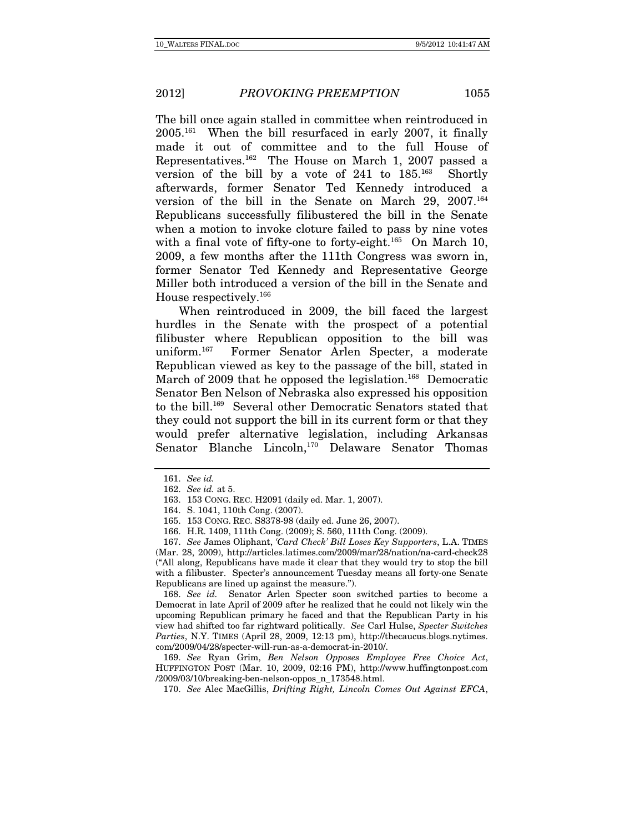The bill once again stalled in committee when reintroduced in 2005.161 When the bill resurfaced in early 2007, it finally made it out of committee and to the full House of Representatives.162 The House on March 1, 2007 passed a version of the bill by a vote of  $241$  to  $185^{163}$  Shortly afterwards, former Senator Ted Kennedy introduced a version of the bill in the Senate on March 29, 2007.164 Republicans successfully filibustered the bill in the Senate when a motion to invoke cloture failed to pass by nine votes with a final vote of fifty-one to forty-eight.<sup>165</sup> On March 10, 2009, a few months after the 111th Congress was sworn in, former Senator Ted Kennedy and Representative George Miller both introduced a version of the bill in the Senate and House respectively.166

When reintroduced in 2009, the bill faced the largest hurdles in the Senate with the prospect of a potential filibuster where Republican opposition to the bill was uniform.167 Former Senator Arlen Specter, a moderate Republican viewed as key to the passage of the bill, stated in March of 2009 that he opposed the legislation.<sup>168</sup> Democratic Senator Ben Nelson of Nebraska also expressed his opposition to the bill.169 Several other Democratic Senators stated that they could not support the bill in its current form or that they would prefer alternative legislation, including Arkansas Senator Blanche Lincoln,<sup>170</sup> Delaware Senator Thomas

168. See id. Senator Arlen Specter soon switched parties to become a Democrat in late April of 2009 after he realized that he could not likely win the upcoming Republican primary he faced and that the Republican Party in his view had shifted too far rightward politically. See Carl Hulse, Specter Switches Parties, N.Y. TIMES (April 28, 2009, 12:13 pm), http://thecaucus.blogs.nytimes. com/2009/04/28/specter-will-run-as-a-democrat-in-2010/.

169. See Ryan Grim, Ben Nelson Opposes Employee Free Choice Act, HUFFINGTON POST (Mar. 10, 2009, 02:16 PM), http://www.huffingtonpost.com /2009/03/10/breaking-ben-nelson-oppos\_n\_173548.html.

170. See Alec MacGillis, Drifting Right, Lincoln Comes Out Against EFCA,

<sup>161.</sup> See id.

<sup>162.</sup> See id. at 5.

 <sup>163. 153</sup> CONG. REC. H2091 (daily ed. Mar. 1, 2007).

 <sup>164.</sup> S. 1041, 110th Cong. (2007).

 <sup>165. 153</sup> CONG. REC. S8378-98 (daily ed. June 26, 2007).

 <sup>166.</sup> H.R. 1409, 111th Cong. (2009); S. 560, 111th Cong. (2009).

<sup>167.</sup> See James Oliphant, 'Card Check' Bill Loses Key Supporters, L.A. TIMES (Mar. 28, 2009), http://articles.latimes.com/2009/mar/28/nation/na-card-check28 ("All along, Republicans have made it clear that they would try to stop the bill with a filibuster. Specter's announcement Tuesday means all forty-one Senate Republicans are lined up against the measure.").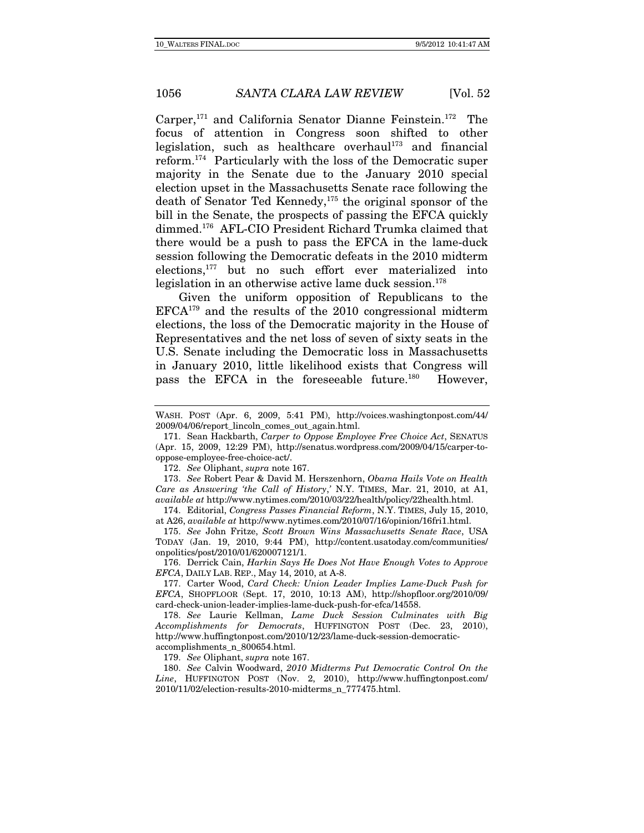Carper,171 and California Senator Dianne Feinstein.172 The focus of attention in Congress soon shifted to other legislation, such as healthcare overhaul<sup>173</sup> and financial reform.174 Particularly with the loss of the Democratic super majority in the Senate due to the January 2010 special election upset in the Massachusetts Senate race following the death of Senator Ted Kennedy,175 the original sponsor of the bill in the Senate, the prospects of passing the EFCA quickly dimmed.176 AFL-CIO President Richard Trumka claimed that there would be a push to pass the EFCA in the lame-duck session following the Democratic defeats in the 2010 midterm elections,177 but no such effort ever materialized into legislation in an otherwise active lame duck session.<sup>178</sup>

Given the uniform opposition of Republicans to the EFCA179 and the results of the 2010 congressional midterm elections, the loss of the Democratic majority in the House of Representatives and the net loss of seven of sixty seats in the U.S. Senate including the Democratic loss in Massachusetts in January 2010, little likelihood exists that Congress will pass the EFCA in the foreseeable future.<sup>180</sup> However,

172. See Oliphant, supra note 167.

173. See Robert Pear & David M. Herszenhorn, Obama Hails Vote on Health Care as Answering 'the Call of History,' N.Y. TIMES, Mar. 21, 2010, at A1, available at http://www.nytimes.com/2010/03/22/health/policy/22health.html.

 174. Editorial, Congress Passes Financial Reform, N.Y. TIMES, July 15, 2010, at A26, available at http://www.nytimes.com/2010/07/16/opinion/16fri1.html.

175. See John Fritze, Scott Brown Wins Massachusetts Senate Race, USA TODAY (Jan. 19, 2010, 9:44 PM), http://content.usatoday.com/communities/ onpolitics/post/2010/01/620007121/1.

 176. Derrick Cain, Harkin Says He Does Not Have Enough Votes to Approve EFCA, DAILY LAB. REP., May 14, 2010, at A-8.

 177. Carter Wood, Card Check: Union Leader Implies Lame-Duck Push for EFCA, SHOPFLOOR (Sept. 17, 2010, 10:13 AM), http://shopfloor.org/2010/09/ card-check-union-leader-implies-lame-duck-push-for-efca/14558.

178. See Laurie Kellman, Lame Duck Session Culminates with Big Accomplishments for Democrats, HUFFINGTON POST (Dec. 23, 2010), http://www.huffingtonpost.com/2010/12/23/lame-duck-session-democraticaccomplishments\_n\_800654.html.

179. See Oliphant, supra note 167.

180. See Calvin Woodward, 2010 Midterms Put Democratic Control On the Line, HUFFINGTON POST (Nov. 2, 2010), http://www.huffingtonpost.com/ 2010/11/02/election-results-2010-midterms\_n\_777475.html.

WASH. POST (Apr. 6, 2009, 5:41 PM), http://voices.washingtonpost.com/44/ 2009/04/06/report\_lincoln\_comes\_out\_again.html.

<sup>171.</sup> Sean Hackbarth, Carper to Oppose Employee Free Choice Act, SENATUS (Apr. 15, 2009, 12:29 PM), http://senatus.wordpress.com/2009/04/15/carper-tooppose-employee-free-choice-act/.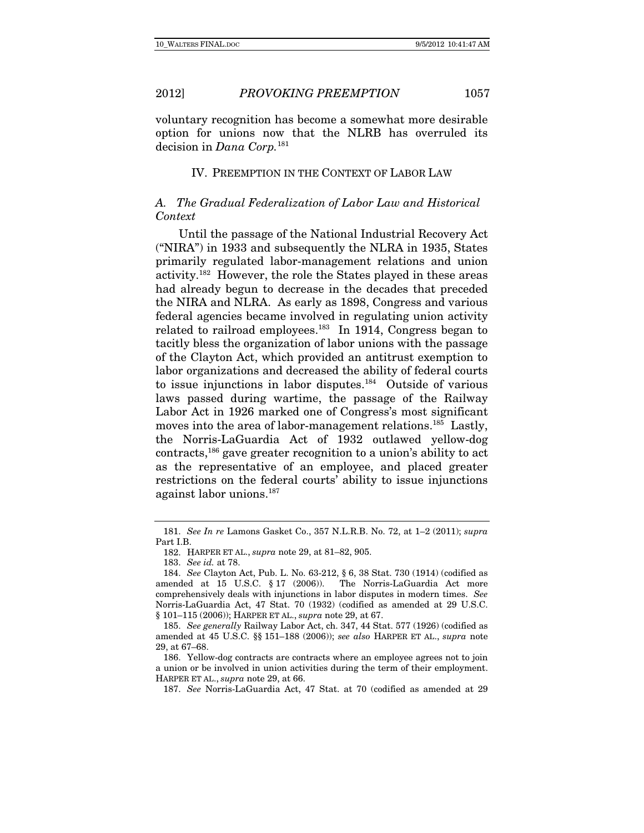voluntary recognition has become a somewhat more desirable option for unions now that the NLRB has overruled its decision in *Dana* Corp.<sup>181</sup>

#### IV. PREEMPTION IN THE CONTEXT OF LABOR LAW

# A. The Gradual Federalization of Labor Law and Historical Context

Until the passage of the National Industrial Recovery Act ("NIRA") in 1933 and subsequently the NLRA in 1935, States primarily regulated labor-management relations and union activity.182 However, the role the States played in these areas had already begun to decrease in the decades that preceded the NIRA and NLRA. As early as 1898, Congress and various federal agencies became involved in regulating union activity related to railroad employees.<sup>183</sup> In 1914, Congress began to tacitly bless the organization of labor unions with the passage of the Clayton Act, which provided an antitrust exemption to labor organizations and decreased the ability of federal courts to issue injunctions in labor disputes.184 Outside of various laws passed during wartime, the passage of the Railway Labor Act in 1926 marked one of Congress's most significant moves into the area of labor-management relations.<sup>185</sup> Lastly, the Norris-LaGuardia Act of 1932 outlawed yellow-dog contracts,186 gave greater recognition to a union's ability to act as the representative of an employee, and placed greater restrictions on the federal courts' ability to issue injunctions against labor unions.187

<sup>181.</sup> See In re Lamons Gasket Co., 357 N.L.R.B. No. 72, at 1–2 (2011); supra Part I.B.

 <sup>182.</sup> HARPER ET AL., supra note 29, at 81–82, 905.

<sup>183.</sup> See id. at 78.

<sup>184.</sup> See Clayton Act, Pub. L. No. 63-212, § 6, 38 Stat. 730 (1914) (codified as amended at 15 U.S.C. § 17 (2006)). The Norris-LaGuardia Act more comprehensively deals with injunctions in labor disputes in modern times. See Norris-LaGuardia Act, 47 Stat. 70 (1932) (codified as amended at 29 U.S.C. § 101–115 (2006)); HARPER ET AL., *supra* note 29, at 67.

<sup>185.</sup> See generally Railway Labor Act, ch. 347, 44 Stat. 577 (1926) (codified as amended at 45 U.S.C. §§ 151–188 (2006)); see also HARPER ET AL., supra note 29, at 67–68.

 <sup>186.</sup> Yellow-dog contracts are contracts where an employee agrees not to join a union or be involved in union activities during the term of their employment. HARPER ET AL., supra note 29, at 66.

<sup>187.</sup> See Norris-LaGuardia Act, 47 Stat. at 70 (codified as amended at 29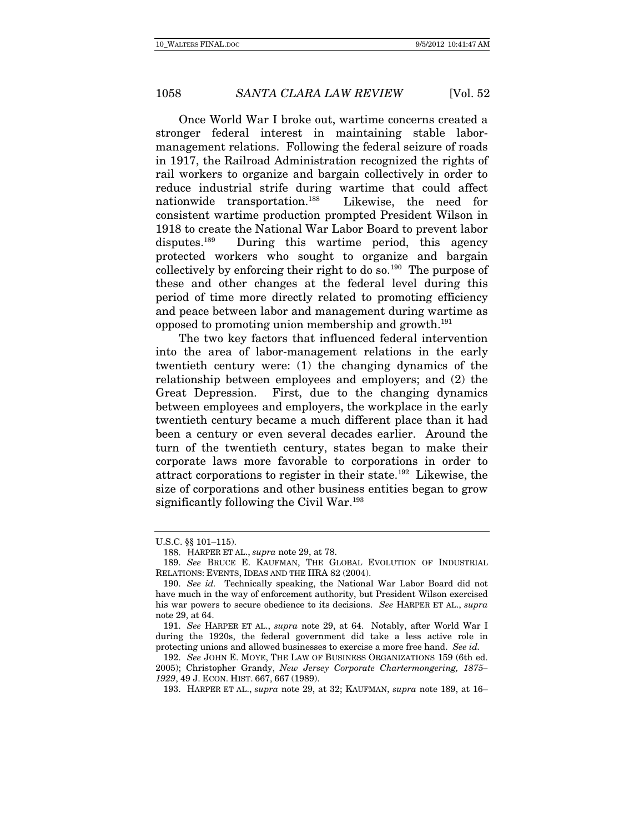Once World War I broke out, wartime concerns created a stronger federal interest in maintaining stable labormanagement relations. Following the federal seizure of roads in 1917, the Railroad Administration recognized the rights of rail workers to organize and bargain collectively in order to reduce industrial strife during wartime that could affect nationwide transportation.188 Likewise, the need for consistent wartime production prompted President Wilson in 1918 to create the National War Labor Board to prevent labor disputes.189 During this wartime period, this agency protected workers who sought to organize and bargain collectively by enforcing their right to do so.190 The purpose of these and other changes at the federal level during this period of time more directly related to promoting efficiency and peace between labor and management during wartime as opposed to promoting union membership and growth.191

The two key factors that influenced federal intervention into the area of labor-management relations in the early twentieth century were: (1) the changing dynamics of the relationship between employees and employers; and (2) the Great Depression. First, due to the changing dynamics between employees and employers, the workplace in the early twentieth century became a much different place than it had been a century or even several decades earlier. Around the turn of the twentieth century, states began to make their corporate laws more favorable to corporations in order to attract corporations to register in their state.192 Likewise, the size of corporations and other business entities began to grow significantly following the Civil War.<sup>193</sup>

U.S.C. §§ 101–115).

 <sup>188.</sup> HARPER ET AL., supra note 29, at 78.

<sup>189.</sup> See BRUCE E. KAUFMAN, THE GLOBAL EVOLUTION OF INDUSTRIAL RELATIONS: EVENTS, IDEAS AND THE IIRA 82 (2004).

<sup>190.</sup> See id. Technically speaking, the National War Labor Board did not have much in the way of enforcement authority, but President Wilson exercised his war powers to secure obedience to its decisions. See HARPER ET AL., supra note 29, at 64.

<sup>191.</sup> See HARPER ET AL., supra note 29, at 64. Notably, after World War I during the 1920s, the federal government did take a less active role in protecting unions and allowed businesses to exercise a more free hand. See id.

<sup>192.</sup> See JOHN E. MOYE, THE LAW OF BUSINESS ORGANIZATIONS 159 (6th ed. 2005); Christopher Grandy, New Jersey Corporate Chartermongering, 1875– 1929, 49 J. ECON. HIST. 667, 667 (1989).

 <sup>193.</sup> HARPER ET AL., supra note 29, at 32; KAUFMAN, supra note 189, at 16–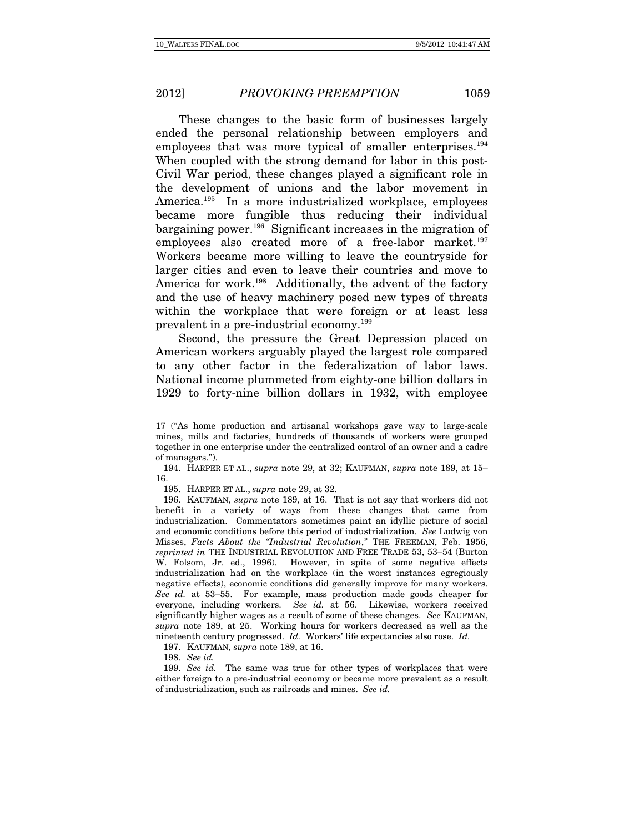These changes to the basic form of businesses largely ended the personal relationship between employers and employees that was more typical of smaller enterprises.<sup>194</sup> When coupled with the strong demand for labor in this post-Civil War period, these changes played a significant role in the development of unions and the labor movement in America.<sup>195</sup> In a more industrialized workplace, employees became more fungible thus reducing their individual bargaining power.196 Significant increases in the migration of employees also created more of a free-labor market.<sup>197</sup> Workers became more willing to leave the countryside for larger cities and even to leave their countries and move to America for work.<sup>198</sup> Additionally, the advent of the factory and the use of heavy machinery posed new types of threats within the workplace that were foreign or at least less prevalent in a pre-industrial economy.199

Second, the pressure the Great Depression placed on American workers arguably played the largest role compared to any other factor in the federalization of labor laws. National income plummeted from eighty-one billion dollars in 1929 to forty-nine billion dollars in 1932, with employee

195. HARPER ET AL., supra note 29, at 32.

 196. KAUFMAN, supra note 189, at 16. That is not say that workers did not benefit in a variety of ways from these changes that came from industrialization. Commentators sometimes paint an idyllic picture of social and economic conditions before this period of industrialization. See Ludwig von Misses, Facts About the "Industrial Revolution," THE FREEMAN, Feb. 1956, reprinted in THE INDUSTRIAL REVOLUTION AND FREE TRADE 53, 53–54 (Burton W. Folsom, Jr. ed., 1996). However, in spite of some negative effects industrialization had on the workplace (in the worst instances egregiously negative effects), economic conditions did generally improve for many workers. See id. at 53–55. For example, mass production made goods cheaper for everyone, including workers. See id. at 56. Likewise, workers received significantly higher wages as a result of some of these changes. See KAUFMAN, supra note 189, at 25. Working hours for workers decreased as well as the nineteenth century progressed. Id. Workers' life expectancies also rose. Id.

197. KAUFMAN, supra note 189, at 16.

198. See id.

<sup>17 (&</sup>quot;As home production and artisanal workshops gave way to large-scale mines, mills and factories, hundreds of thousands of workers were grouped together in one enterprise under the centralized control of an owner and a cadre of managers.").

 <sup>194.</sup> HARPER ET AL., supra note 29, at 32; KAUFMAN, supra note 189, at 15– 16.

<sup>199.</sup> See id. The same was true for other types of workplaces that were either foreign to a pre-industrial economy or became more prevalent as a result of industrialization, such as railroads and mines. See id.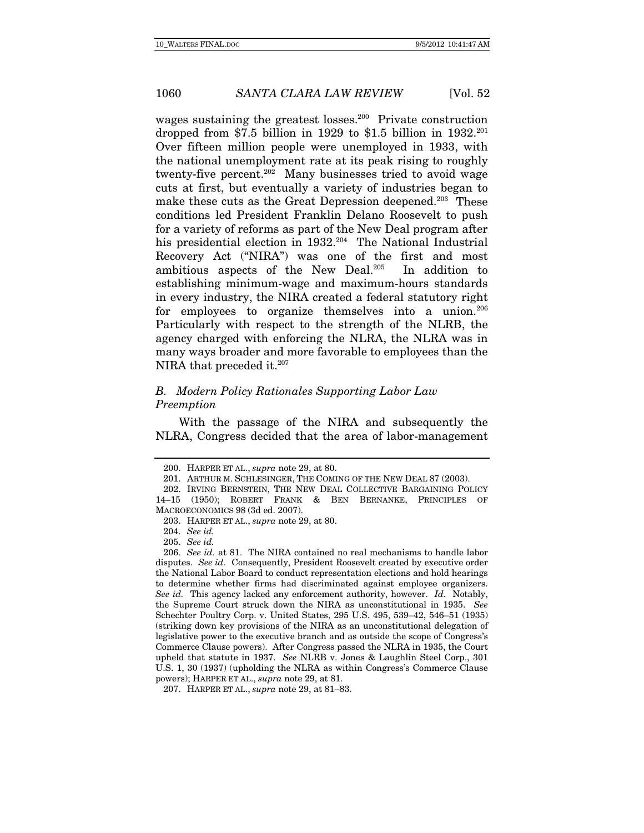wages sustaining the greatest losses.<sup>200</sup> Private construction dropped from \$7.5 billion in 1929 to \$1.5 billion in  $1932.^{201}$ Over fifteen million people were unemployed in 1933, with the national unemployment rate at its peak rising to roughly twenty-five percent.202 Many businesses tried to avoid wage cuts at first, but eventually a variety of industries began to make these cuts as the Great Depression deepened.<sup>203</sup> These conditions led President Franklin Delano Roosevelt to push for a variety of reforms as part of the New Deal program after his presidential election in 1932.<sup>204</sup> The National Industrial Recovery Act ("NIRA") was one of the first and most ambitious aspects of the New Deal.205 In addition to establishing minimum-wage and maximum-hours standards in every industry, the NIRA created a federal statutory right for employees to organize themselves into a union.<sup>206</sup> Particularly with respect to the strength of the NLRB, the agency charged with enforcing the NLRA, the NLRA was in many ways broader and more favorable to employees than the NIRA that preceded it.<sup>207</sup>

# B. Modern Policy Rationales Supporting Labor Law Preemption

With the passage of the NIRA and subsequently the NLRA, Congress decided that the area of labor-management

205. See id.

 <sup>200.</sup> HARPER ET AL., supra note 29, at 80.

 <sup>201.</sup> ARTHUR M. SCHLESINGER, THE COMING OF THE NEW DEAL 87 (2003).

 <sup>202.</sup> IRVING BERNSTEIN, THE NEW DEAL COLLECTIVE BARGAINING POLICY 14–15 (1950); ROBERT FRANK & BEN BERNANKE, PRINCIPLES OF MACROECONOMICS 98 (3d ed. 2007).

 <sup>203.</sup> HARPER ET AL., supra note 29, at 80.

<sup>204.</sup> See id.

<sup>206.</sup> See id. at 81. The NIRA contained no real mechanisms to handle labor disputes. See id. Consequently, President Roosevelt created by executive order the National Labor Board to conduct representation elections and hold hearings to determine whether firms had discriminated against employee organizers. See id. This agency lacked any enforcement authority, however. Id. Notably, the Supreme Court struck down the NIRA as unconstitutional in 1935. See Schechter Poultry Corp. v. United States, 295 U.S. 495, 539–42, 546–51 (1935) (striking down key provisions of the NIRA as an unconstitutional delegation of legislative power to the executive branch and as outside the scope of Congress's Commerce Clause powers). After Congress passed the NLRA in 1935, the Court upheld that statute in 1937. See NLRB v. Jones & Laughlin Steel Corp., 301 U.S. 1, 30 (1937) (upholding the NLRA as within Congress's Commerce Clause powers); HARPER ET AL., supra note 29, at 81.

 <sup>207.</sup> HARPER ET AL., supra note 29, at 81–83.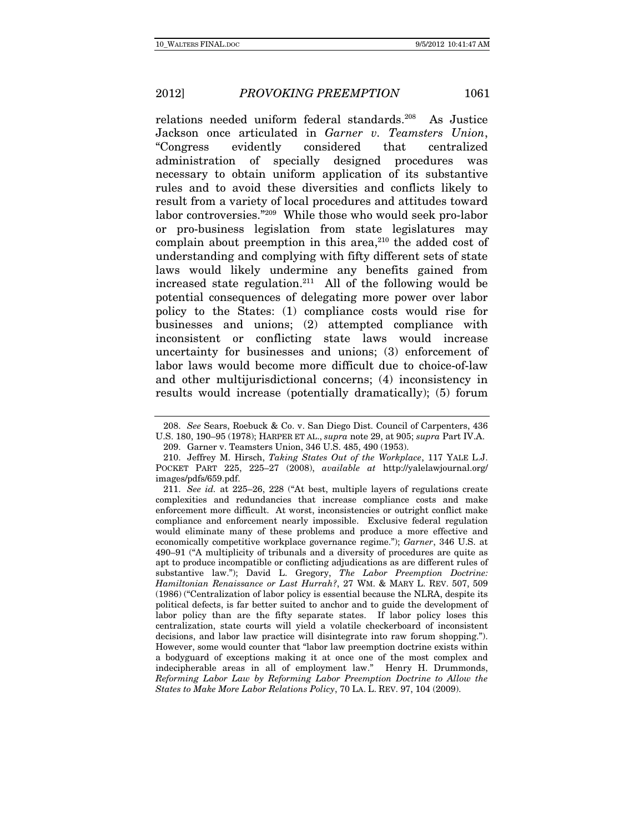relations needed uniform federal standards.<sup>208</sup> As Justice Jackson once articulated in Garner v. Teamsters Union, "Congress evidently considered that centralized administration of specially designed procedures was necessary to obtain uniform application of its substantive rules and to avoid these diversities and conflicts likely to result from a variety of local procedures and attitudes toward labor controversies."209 While those who would seek pro-labor or pro-business legislation from state legislatures may complain about preemption in this area, $210$  the added cost of understanding and complying with fifty different sets of state laws would likely undermine any benefits gained from increased state regulation.<sup>211</sup> All of the following would be potential consequences of delegating more power over labor policy to the States: (1) compliance costs would rise for businesses and unions; (2) attempted compliance with inconsistent or conflicting state laws would increase uncertainty for businesses and unions; (3) enforcement of labor laws would become more difficult due to choice-of-law and other multijurisdictional concerns; (4) inconsistency in results would increase (potentially dramatically); (5) forum

<sup>208.</sup> See Sears, Roebuck & Co. v. San Diego Dist. Council of Carpenters, 436 U.S. 180, 190–95 (1978); HARPER ET AL., supra note 29, at 905; supra Part IV.A.

 <sup>209.</sup> Garner v. Teamsters Union, 346 U.S. 485, 490 (1953).

 <sup>210.</sup> Jeffrey M. Hirsch, Taking States Out of the Workplace, 117 YALE L.J. POCKET PART 225, 225–27 (2008), available at http://yalelawjournal.org/ images/pdfs/659.pdf.

<sup>211.</sup> See id. at 225–26, 228 ("At best, multiple layers of regulations create complexities and redundancies that increase compliance costs and make enforcement more difficult. At worst, inconsistencies or outright conflict make compliance and enforcement nearly impossible. Exclusive federal regulation would eliminate many of these problems and produce a more effective and economically competitive workplace governance regime."); Garner, 346 U.S. at 490–91 ("A multiplicity of tribunals and a diversity of procedures are quite as apt to produce incompatible or conflicting adjudications as are different rules of substantive law."); David L. Gregory, The Labor Preemption Doctrine: Hamiltonian Renaissance or Last Hurrah?, 27 WM. & MARY L. REV. 507, 509 (1986) ("Centralization of labor policy is essential because the NLRA, despite its political defects, is far better suited to anchor and to guide the development of labor policy than are the fifty separate states. If labor policy loses this centralization, state courts will yield a volatile checkerboard of inconsistent decisions, and labor law practice will disintegrate into raw forum shopping."). However, some would counter that "labor law preemption doctrine exists within a bodyguard of exceptions making it at once one of the most complex and indecipherable areas in all of employment law." Henry H. Drummonds, Reforming Labor Law by Reforming Labor Preemption Doctrine to Allow the States to Make More Labor Relations Policy, 70 LA. L. REV. 97, 104 (2009).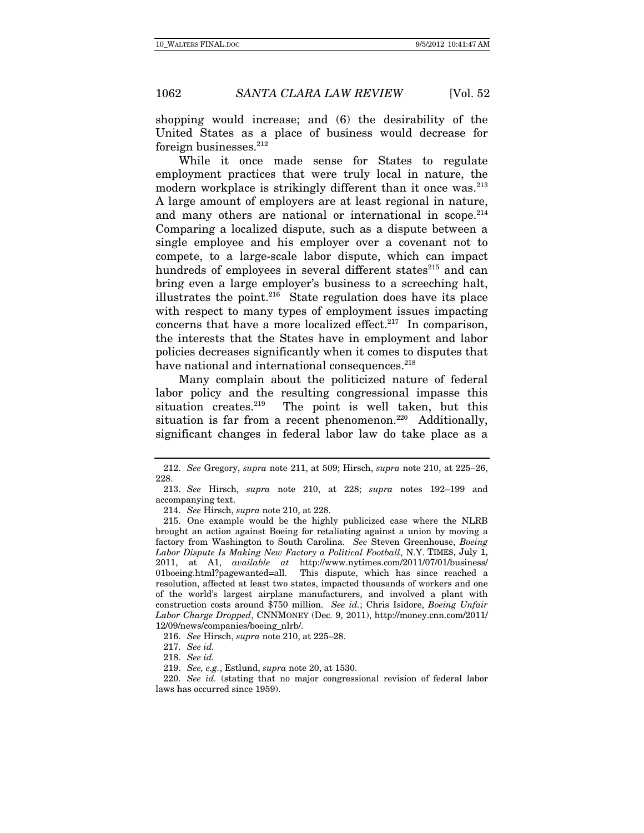shopping would increase; and (6) the desirability of the United States as a place of business would decrease for foreign businesses.212

While it once made sense for States to regulate employment practices that were truly local in nature, the modern workplace is strikingly different than it once was.<sup>213</sup> A large amount of employers are at least regional in nature, and many others are national or international in scope.<sup>214</sup> Comparing a localized dispute, such as a dispute between a single employee and his employer over a covenant not to compete, to a large-scale labor dispute, which can impact hundreds of employees in several different states<sup>215</sup> and can bring even a large employer's business to a screeching halt, illustrates the point. $216$  State regulation does have its place with respect to many types of employment issues impacting concerns that have a more localized effect. $217$  In comparison, the interests that the States have in employment and labor policies decreases significantly when it comes to disputes that have national and international consequences.<sup>218</sup>

Many complain about the politicized nature of federal labor policy and the resulting congressional impasse this situation creates. $219$  The point is well taken, but this situation is far from a recent phenomenon.<sup>220</sup> Additionally, significant changes in federal labor law do take place as a

 <sup>212.</sup> See Gregory, supra note 211, at 509; Hirsch, supra note 210, at 225–26, 228.

 <sup>213.</sup> See Hirsch, supra note 210, at 228; supra notes 192–199 and accompanying text.

 <sup>214.</sup> See Hirsch, supra note 210, at 228.

 <sup>215.</sup> One example would be the highly publicized case where the NLRB brought an action against Boeing for retaliating against a union by moving a factory from Washington to South Carolina. See Steven Greenhouse, Boeing Labor Dispute Is Making New Factory a Political Football, N.Y. TIMES, July 1, 2011, at A1, available at http://www.nytimes.com/2011/07/01/business/ 01boeing.html?pagewanted=all. This dispute, which has since reached a resolution, affected at least two states, impacted thousands of workers and one of the world's largest airplane manufacturers, and involved a plant with construction costs around \$750 million. See id.; Chris Isidore, Boeing Unfair Labor Charge Dropped, CNNMONEY (Dec. 9, 2011), http://money.cnn.com/2011/ 12/09/news/companies/boeing\_nlrb/.

<sup>216.</sup> See Hirsch, supra note 210, at 225–28.

<sup>217.</sup> See id.

<sup>218.</sup> See id.

<sup>219.</sup> See, e.g., Estlund, supra note 20, at 1530.

<sup>220.</sup> See id. (stating that no major congressional revision of federal labor laws has occurred since 1959).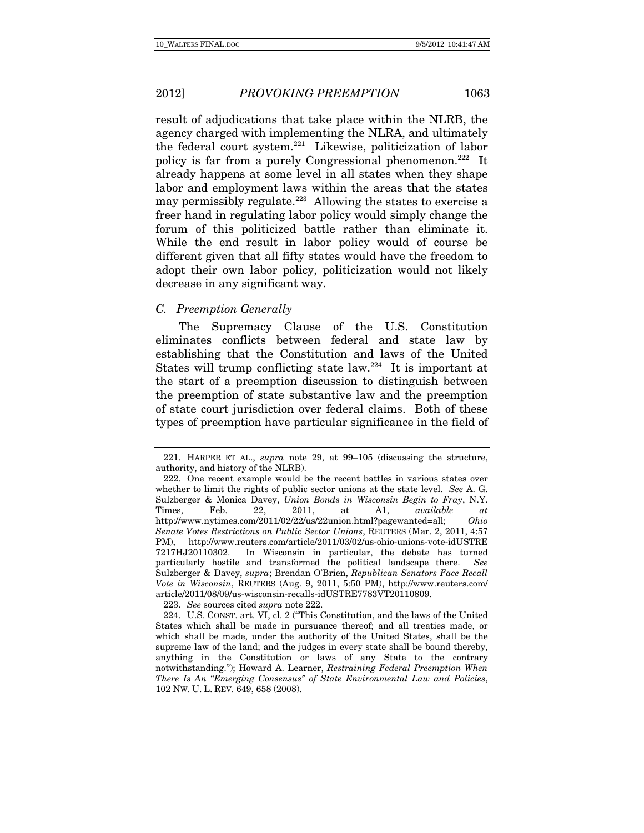result of adjudications that take place within the NLRB, the agency charged with implementing the NLRA, and ultimately the federal court system.221 Likewise, politicization of labor policy is far from a purely Congressional phenomenon.222 It already happens at some level in all states when they shape labor and employment laws within the areas that the states may permissibly regulate.<sup>223</sup> Allowing the states to exercise a freer hand in regulating labor policy would simply change the forum of this politicized battle rather than eliminate it. While the end result in labor policy would of course be different given that all fifty states would have the freedom to adopt their own labor policy, politicization would not likely decrease in any significant way.

#### C. Preemption Generally

The Supremacy Clause of the U.S. Constitution eliminates conflicts between federal and state law by establishing that the Constitution and laws of the United States will trump conflicting state law.224 It is important at the start of a preemption discussion to distinguish between the preemption of state substantive law and the preemption of state court jurisdiction over federal claims. Both of these types of preemption have particular significance in the field of

223. See sources cited supra note 222.

 <sup>221.</sup> HARPER ET AL., supra note 29, at 99–105 (discussing the structure, authority, and history of the NLRB).

 <sup>222.</sup> One recent example would be the recent battles in various states over whether to limit the rights of public sector unions at the state level. See A. G. Sulzberger & Monica Davey, Union Bonds in Wisconsin Begin to Fray, N.Y. Times, Feb. 22, 2011, at A1, available at http://www.nytimes.com/2011/02/22/us/22union.html?pagewanted=all; Ohio Senate Votes Restrictions on Public Sector Unions, REUTERS (Mar. 2, 2011, 4:57 PM), http://www.reuters.com/article/2011/03/02/us-ohio-unions-vote-idUSTRE 7217HJ20110302. In Wisconsin in particular, the debate has turned particularly hostile and transformed the political landscape there. See Sulzberger & Davey, supra; Brendan O'Brien, Republican Senators Face Recall Vote in Wisconsin, REUTERS (Aug. 9, 2011, 5:50 PM), http://www.reuters.com/ article/2011/08/09/us-wisconsin-recalls-idUSTRE7783VT20110809.

 <sup>224.</sup> U.S. CONST. art. VI, cl. 2 ("This Constitution, and the laws of the United States which shall be made in pursuance thereof; and all treaties made, or which shall be made, under the authority of the United States, shall be the supreme law of the land; and the judges in every state shall be bound thereby, anything in the Constitution or laws of any State to the contrary notwithstanding."); Howard A. Learner, Restraining Federal Preemption When There Is An "Emerging Consensus" of State Environmental Law and Policies, 102 NW. U. L. REV. 649, 658 (2008).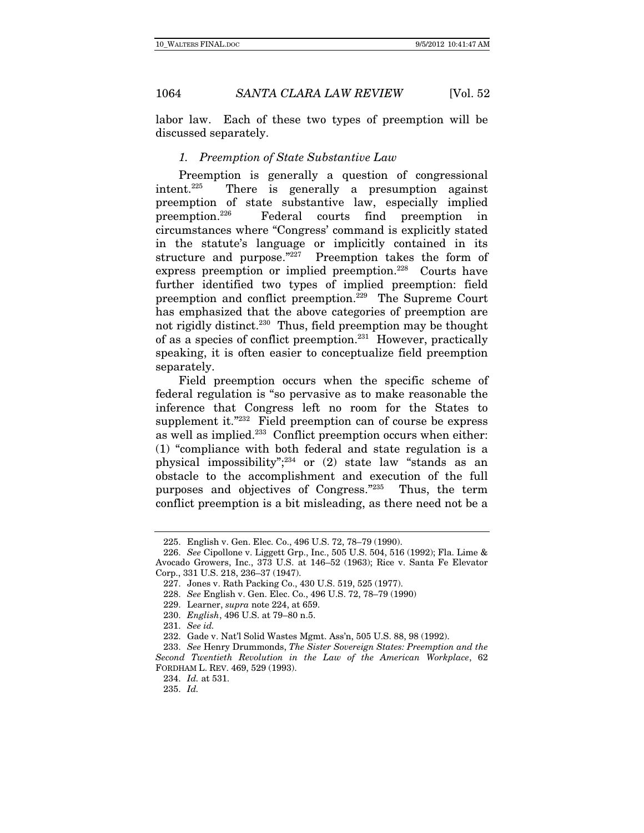labor law. Each of these two types of preemption will be discussed separately.

### 1. Preemption of State Substantive Law

Preemption is generally a question of congressional intent.225 There is generally a presumption against preemption of state substantive law, especially implied preemption.226 Federal courts find preemption in circumstances where "Congress' command is explicitly stated in the statute's language or implicitly contained in its structure and purpose."227 Preemption takes the form of express preemption or implied preemption.<sup>228</sup> Courts have further identified two types of implied preemption: field preemption and conflict preemption.229 The Supreme Court has emphasized that the above categories of preemption are not rigidly distinct.<sup>230</sup> Thus, field preemption may be thought of as a species of conflict preemption.231 However, practically speaking, it is often easier to conceptualize field preemption separately.

Field preemption occurs when the specific scheme of federal regulation is "so pervasive as to make reasonable the inference that Congress left no room for the States to supplement it."<sup>232</sup> Field preemption can of course be express as well as implied.<sup>233</sup> Conflict preemption occurs when either: (1) "compliance with both federal and state regulation is a physical impossibility"; $234$  or (2) state law "stands as an obstacle to the accomplishment and execution of the full purposes and objectives of Congress."235 Thus, the term conflict preemption is a bit misleading, as there need not be a

 <sup>225.</sup> English v. Gen. Elec. Co., 496 U.S. 72, 78–79 (1990).

<sup>226.</sup> See Cipollone v. Liggett Grp., Inc., 505 U.S. 504, 516 (1992); Fla. Lime & Avocado Growers, Inc., 373 U.S. at 146–52 (1963); Rice v. Santa Fe Elevator Corp., 331 U.S. 218, 236–37 (1947).

 <sup>227.</sup> Jones v. Rath Packing Co., 430 U.S. 519, 525 (1977).

<sup>228.</sup> See English v. Gen. Elec. Co., 496 U.S. 72, 78–79 (1990)

 <sup>229.</sup> Learner, supra note 224, at 659.

<sup>230.</sup> English, 496 U.S. at 79–80 n.5.

<sup>231.</sup> See id.

 <sup>232.</sup> Gade v. Nat'l Solid Wastes Mgmt. Ass'n, 505 U.S. 88, 98 (1992).

<sup>233.</sup> See Henry Drummonds, The Sister Sovereign States: Preemption and the Second Twentieth Revolution in the Law of the American Workplace, 62 FORDHAM L. REV. 469, 529 (1993).

<sup>234.</sup> Id. at 531.

<sup>235.</sup> Id.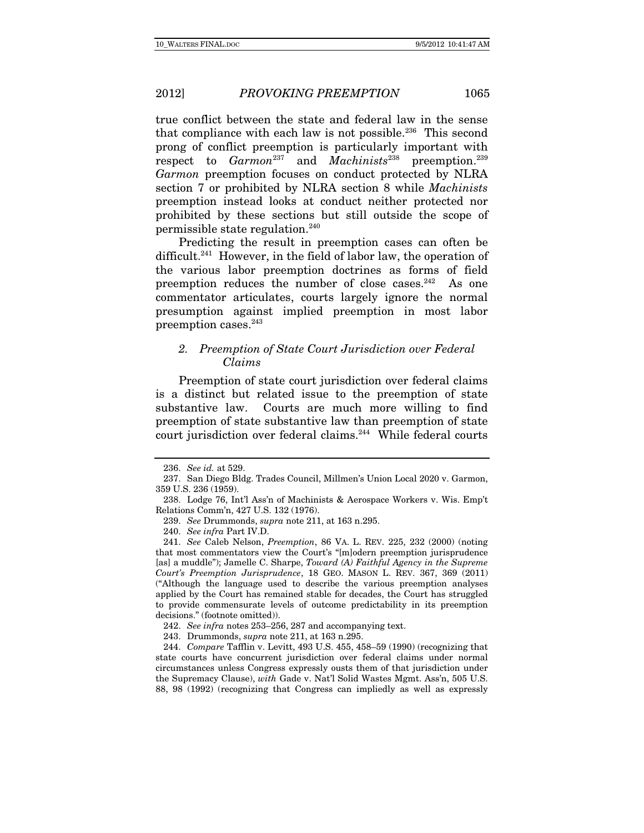true conflict between the state and federal law in the sense that compliance with each law is not possible.<sup>236</sup> This second prong of conflict preemption is particularly important with respect to  $Garmon^{237}$  and  $Machinists^{238}$  preemption.<sup>239</sup> Garmon preemption focuses on conduct protected by NLRA section 7 or prohibited by NLRA section 8 while Machinists preemption instead looks at conduct neither protected nor prohibited by these sections but still outside the scope of permissible state regulation.240

Predicting the result in preemption cases can often be difficult.<sup>241</sup> However, in the field of labor law, the operation of the various labor preemption doctrines as forms of field preemption reduces the number of close cases. $242$  As one commentator articulates, courts largely ignore the normal presumption against implied preemption in most labor preemption cases.243

# 2. Preemption of State Court Jurisdiction over Federal Claims

Preemption of state court jurisdiction over federal claims is a distinct but related issue to the preemption of state substantive law. Courts are much more willing to find preemption of state substantive law than preemption of state court jurisdiction over federal claims.<sup>244</sup> While federal courts

<sup>236.</sup> See id. at 529.

 <sup>237.</sup> San Diego Bldg. Trades Council, Millmen's Union Local 2020 v. Garmon, 359 U.S. 236 (1959).

 <sup>238.</sup> Lodge 76, Int'l Ass'n of Machinists & Aerospace Workers v. Wis. Emp't Relations Comm'n, 427 U.S. 132 (1976).

<sup>239.</sup> See Drummonds, supra note 211, at 163 n.295.

<sup>240.</sup> See infra Part IV.D.

<sup>241.</sup> See Caleb Nelson, Preemption, 86 VA. L. REV. 225, 232 (2000) (noting that most commentators view the Court's "[m]odern preemption jurisprudence [as] a muddle"); Jamelle C. Sharpe, Toward (A) Faithful Agency in the Supreme Court's Preemption Jurisprudence, 18 GEO. MASON L. REV. 367, 369 (2011) ("Although the language used to describe the various preemption analyses applied by the Court has remained stable for decades, the Court has struggled to provide commensurate levels of outcome predictability in its preemption decisions." (footnote omitted)).

<sup>242.</sup> See infra notes 253–256, 287 and accompanying text.

 <sup>243.</sup> Drummonds, supra note 211, at 163 n.295.

<sup>244.</sup> Compare Tafflin v. Levitt, 493 U.S. 455, 458–59 (1990) (recognizing that state courts have concurrent jurisdiction over federal claims under normal circumstances unless Congress expressly ousts them of that jurisdiction under the Supremacy Clause), with Gade v. Nat'l Solid Wastes Mgmt. Ass'n, 505 U.S. 88, 98 (1992) (recognizing that Congress can impliedly as well as expressly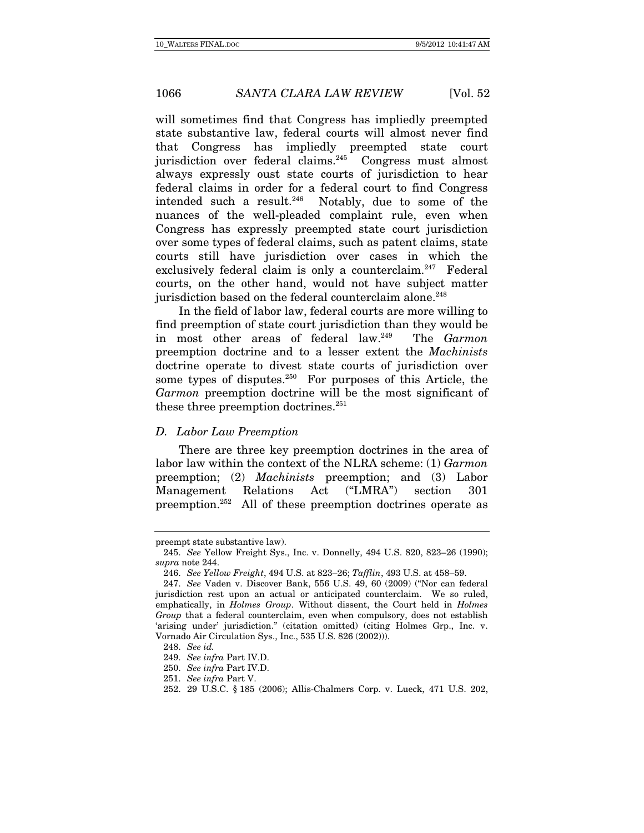will sometimes find that Congress has impliedly preempted state substantive law, federal courts will almost never find that Congress has impliedly preempted state court jurisdiction over federal claims.<sup>245</sup> Congress must almost always expressly oust state courts of jurisdiction to hear federal claims in order for a federal court to find Congress intended such a result.246 Notably, due to some of the nuances of the well-pleaded complaint rule, even when Congress has expressly preempted state court jurisdiction over some types of federal claims, such as patent claims, state courts still have jurisdiction over cases in which the exclusively federal claim is only a counterclaim.<sup>247</sup> Federal courts, on the other hand, would not have subject matter jurisdiction based on the federal counterclaim alone.<sup>248</sup>

In the field of labor law, federal courts are more willing to find preemption of state court jurisdiction than they would be in most other areas of federal law.<sup>249</sup> The Garmon preemption doctrine and to a lesser extent the Machinists doctrine operate to divest state courts of jurisdiction over some types of disputes. $250$  For purposes of this Article, the Garmon preemption doctrine will be the most significant of these three preemption doctrines.<sup>251</sup>

## D. Labor Law Preemption

There are three key preemption doctrines in the area of labor law within the context of the NLRA scheme: (1) Garmon preemption; (2) Machinists preemption; and (3) Labor Management Relations Act ("LMRA") section 301 preemption.252 All of these preemption doctrines operate as

preempt state substantive law).

<sup>245.</sup> See Yellow Freight Sys., Inc. v. Donnelly, 494 U.S. 820, 823–26 (1990); supra note 244.

<sup>246.</sup> See Yellow Freight, 494 U.S. at 823–26; Tafflin, 493 U.S. at 458–59.

<sup>247.</sup> See Vaden v. Discover Bank, 556 U.S. 49, 60 (2009) ("Nor can federal jurisdiction rest upon an actual or anticipated counterclaim. We so ruled, emphatically, in Holmes Group. Without dissent, the Court held in Holmes Group that a federal counterclaim, even when compulsory, does not establish 'arising under' jurisdiction." (citation omitted) (citing Holmes Grp., Inc. v. Vornado Air Circulation Sys., Inc., 535 U.S. 826 (2002))).

<sup>248.</sup> See id.

<sup>249.</sup> See infra Part IV.D.

<sup>250.</sup> See infra Part IV.D.

<sup>251.</sup> See infra Part V.

 <sup>252. 29</sup> U.S.C. § 185 (2006); Allis-Chalmers Corp. v. Lueck, 471 U.S. 202,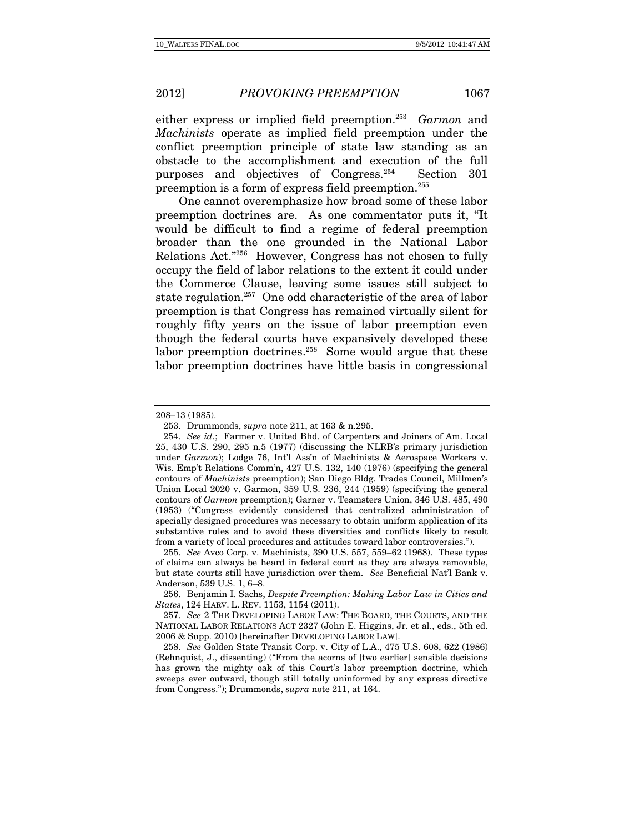either express or implied field preemption.<sup>253</sup> Garmon and Machinists operate as implied field preemption under the conflict preemption principle of state law standing as an obstacle to the accomplishment and execution of the full purposes and objectives of Congress.254 Section 301 preemption is a form of express field preemption.255

One cannot overemphasize how broad some of these labor preemption doctrines are. As one commentator puts it, "It would be difficult to find a regime of federal preemption broader than the one grounded in the National Labor Relations Act."256 However, Congress has not chosen to fully occupy the field of labor relations to the extent it could under the Commerce Clause, leaving some issues still subject to state regulation.257 One odd characteristic of the area of labor preemption is that Congress has remained virtually silent for roughly fifty years on the issue of labor preemption even though the federal courts have expansively developed these labor preemption doctrines.<sup>258</sup> Some would argue that these labor preemption doctrines have little basis in congressional

<sup>208–13 (1985).</sup> 

 <sup>253.</sup> Drummonds, supra note 211, at 163 & n.295.

<sup>254.</sup> See id.; Farmer v. United Bhd. of Carpenters and Joiners of Am. Local 25, 430 U.S. 290, 295 n.5 (1977) (discussing the NLRB's primary jurisdiction under Garmon); Lodge 76, Int'l Ass'n of Machinists & Aerospace Workers v. Wis. Emp't Relations Comm'n, 427 U.S. 132, 140 (1976) (specifying the general contours of Machinists preemption); San Diego Bldg. Trades Council, Millmen's Union Local 2020 v. Garmon, 359 U.S. 236, 244 (1959) (specifying the general contours of Garmon preemption); Garner v. Teamsters Union, 346 U.S. 485, 490 (1953) ("Congress evidently considered that centralized administration of specially designed procedures was necessary to obtain uniform application of its substantive rules and to avoid these diversities and conflicts likely to result from a variety of local procedures and attitudes toward labor controversies.").

<sup>255.</sup> See Avco Corp. v. Machinists, 390 U.S. 557, 559–62 (1968). These types of claims can always be heard in federal court as they are always removable, but state courts still have jurisdiction over them. See Beneficial Nat'l Bank v. Anderson, 539 U.S. 1, 6–8.

 <sup>256.</sup> Benjamin I. Sachs, Despite Preemption: Making Labor Law in Cities and States, 124 HARV. L. REV. 1153, 1154 (2011).

<sup>257.</sup> See 2 THE DEVELOPING LABOR LAW: THE BOARD, THE COURTS, AND THE NATIONAL LABOR RELATIONS ACT 2327 (John E. Higgins, Jr. et al., eds., 5th ed. 2006 & Supp. 2010) [hereinafter DEVELOPING LABOR LAW].

<sup>258.</sup> See Golden State Transit Corp. v. City of L.A., 475 U.S. 608, 622 (1986) (Rehnquist, J., dissenting) ("From the acorns of [two earlier] sensible decisions has grown the mighty oak of this Court's labor preemption doctrine, which sweeps ever outward, though still totally uninformed by any express directive from Congress."); Drummonds, supra note 211, at 164.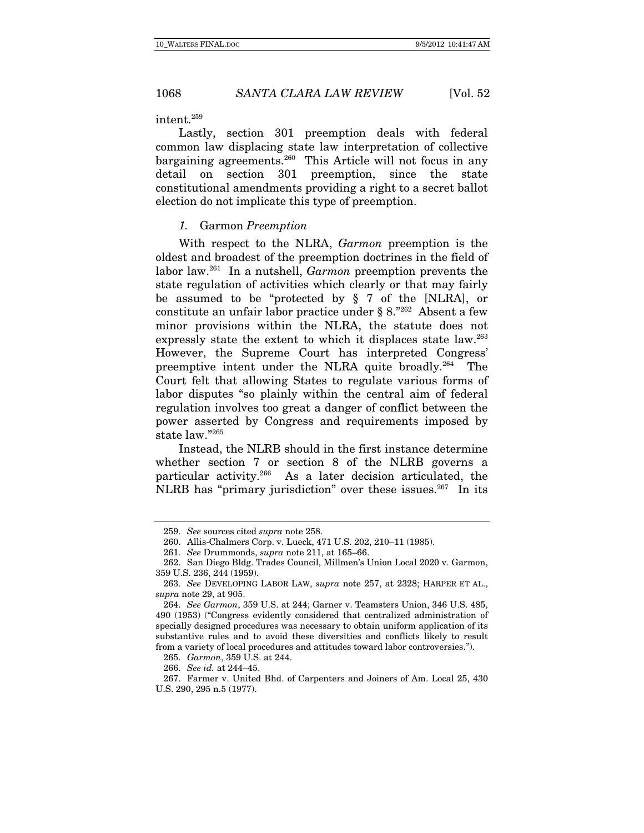intent.259

Lastly, section 301 preemption deals with federal common law displacing state law interpretation of collective bargaining agreements.<sup>260</sup> This Article will not focus in any detail on section 301 preemption, since the state constitutional amendments providing a right to a secret ballot election do not implicate this type of preemption.

#### 1. Garmon Preemption

With respect to the NLRA, Garmon preemption is the oldest and broadest of the preemption doctrines in the field of labor law.261 In a nutshell, Garmon preemption prevents the state regulation of activities which clearly or that may fairly be assumed to be "protected by § 7 of the [NLRA], or constitute an unfair labor practice under  $\S 8.^{"262}$  Absent a few minor provisions within the NLRA, the statute does not expressly state the extent to which it displaces state law.<sup>263</sup> However, the Supreme Court has interpreted Congress' preemptive intent under the NLRA quite broadly.264 The Court felt that allowing States to regulate various forms of labor disputes "so plainly within the central aim of federal regulation involves too great a danger of conflict between the power asserted by Congress and requirements imposed by state law."265

Instead, the NLRB should in the first instance determine whether section 7 or section 8 of the NLRB governs a particular activity.266 As a later decision articulated, the NLRB has "primary jurisdiction" over these issues. $267$  In its

265. Garmon, 359 U.S. at 244.

266. See id. at 244–45.

<sup>259.</sup> See sources cited supra note 258.

 <sup>260.</sup> Allis-Chalmers Corp. v. Lueck, 471 U.S. 202, 210–11 (1985).

 <sup>261.</sup> See Drummonds, supra note 211, at 165–66.

 <sup>262.</sup> San Diego Bldg. Trades Council, Millmen's Union Local 2020 v. Garmon, 359 U.S. 236, 244 (1959).

<sup>263.</sup> See DEVELOPING LABOR LAW, supra note 257, at 2328; HARPER ET AL., supra note 29, at 905.

<sup>264.</sup> See Garmon, 359 U.S. at 244; Garner v. Teamsters Union, 346 U.S. 485, 490 (1953) ("Congress evidently considered that centralized administration of specially designed procedures was necessary to obtain uniform application of its substantive rules and to avoid these diversities and conflicts likely to result from a variety of local procedures and attitudes toward labor controversies.").

 <sup>267.</sup> Farmer v. United Bhd. of Carpenters and Joiners of Am. Local 25, 430 U.S. 290, 295 n.5 (1977).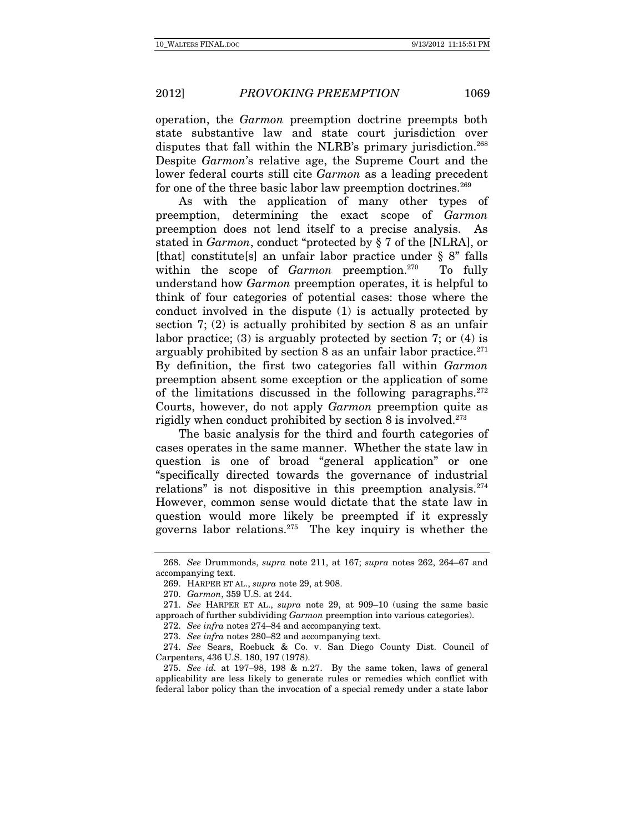operation, the Garmon preemption doctrine preempts both state substantive law and state court jurisdiction over disputes that fall within the NLRB's primary jurisdiction.<sup>268</sup> Despite Garmon's relative age, the Supreme Court and the lower federal courts still cite Garmon as a leading precedent for one of the three basic labor law preemption doctrines.<sup>269</sup>

As with the application of many other types of preemption, determining the exact scope of Garmon preemption does not lend itself to a precise analysis. As stated in Garmon, conduct "protected by § 7 of the [NLRA], or [that] constitute[s] an unfair labor practice under § 8" falls within the scope of *Garmon* preemption.<sup>270</sup> To fully understand how Garmon preemption operates, it is helpful to think of four categories of potential cases: those where the conduct involved in the dispute (1) is actually protected by section 7; (2) is actually prohibited by section 8 as an unfair labor practice; (3) is arguably protected by section 7; or (4) is arguably prohibited by section  $8$  as an unfair labor practice.<sup>271</sup> By definition, the first two categories fall within Garmon preemption absent some exception or the application of some of the limitations discussed in the following paragraphs.272 Courts, however, do not apply Garmon preemption quite as rigidly when conduct prohibited by section 8 is involved.<sup>273</sup>

The basic analysis for the third and fourth categories of cases operates in the same manner. Whether the state law in question is one of broad "general application" or one "specifically directed towards the governance of industrial relations" is not dispositive in this preemption analysis.<sup>274</sup> However, common sense would dictate that the state law in question would more likely be preempted if it expressly governs labor relations.<sup>275</sup> The key inquiry is whether the

<sup>268.</sup> See Drummonds, supra note 211, at 167; supra notes 262, 264–67 and accompanying text.

 <sup>269.</sup> HARPER ET AL., supra note 29, at 908.

<sup>270.</sup> Garmon, 359 U.S. at 244.

<sup>271.</sup> See HARPER ET AL., supra note 29, at 909–10 (using the same basic approach of further subdividing *Garmon* preemption into various categories).

<sup>272.</sup> See infra notes 274–84 and accompanying text.

<sup>273.</sup> See infra notes 280–82 and accompanying text.

<sup>274.</sup> See Sears, Roebuck & Co. v. San Diego County Dist. Council of Carpenters, 436 U.S. 180, 197 (1978).

<sup>275.</sup> See id. at 197–98, 198 & n.27. By the same token, laws of general applicability are less likely to generate rules or remedies which conflict with federal labor policy than the invocation of a special remedy under a state labor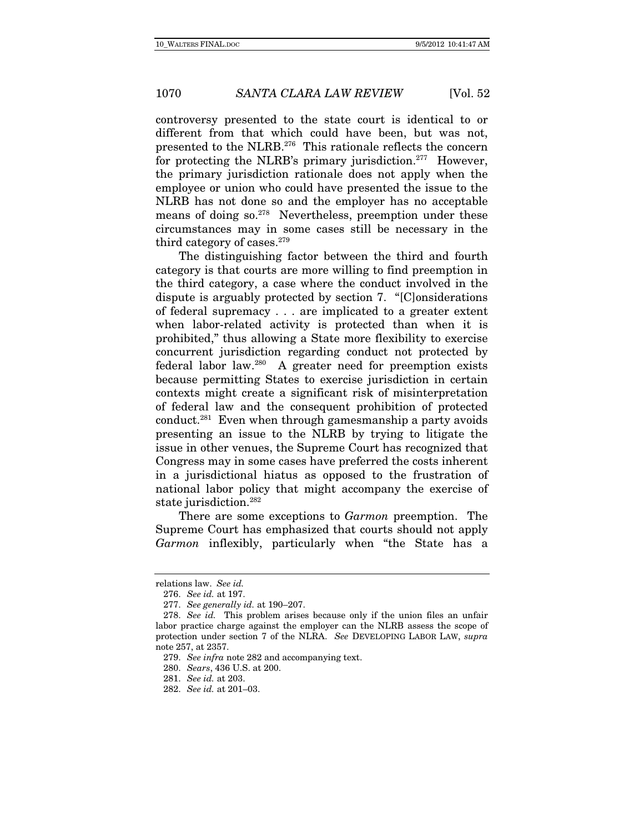controversy presented to the state court is identical to or different from that which could have been, but was not, presented to the NLRB.276 This rationale reflects the concern for protecting the NLRB's primary jurisdiction.<sup>277</sup> However, the primary jurisdiction rationale does not apply when the employee or union who could have presented the issue to the NLRB has not done so and the employer has no acceptable means of doing so.278 Nevertheless, preemption under these circumstances may in some cases still be necessary in the third category of cases.<sup>279</sup>

The distinguishing factor between the third and fourth category is that courts are more willing to find preemption in the third category, a case where the conduct involved in the dispute is arguably protected by section 7. "[C]onsiderations of federal supremacy . . . are implicated to a greater extent when labor-related activity is protected than when it is prohibited," thus allowing a State more flexibility to exercise concurrent jurisdiction regarding conduct not protected by federal labor law.280 A greater need for preemption exists because permitting States to exercise jurisdiction in certain contexts might create a significant risk of misinterpretation of federal law and the consequent prohibition of protected conduct.<sup>281</sup> Even when through gamesmanship a party avoids presenting an issue to the NLRB by trying to litigate the issue in other venues, the Supreme Court has recognized that Congress may in some cases have preferred the costs inherent in a jurisdictional hiatus as opposed to the frustration of national labor policy that might accompany the exercise of state jurisdiction.<sup>282</sup>

There are some exceptions to Garmon preemption. The Supreme Court has emphasized that courts should not apply Garmon inflexibly, particularly when "the State has a

relations law. See id.

<sup>276.</sup> See id. at 197.

<sup>277.</sup> See generally id. at 190–207.

<sup>278.</sup> See id. This problem arises because only if the union files an unfair labor practice charge against the employer can the NLRB assess the scope of protection under section 7 of the NLRA. See DEVELOPING LABOR LAW, supra note 257, at 2357.

<sup>279.</sup> See infra note 282 and accompanying text.

<sup>280.</sup> Sears, 436 U.S. at 200.

<sup>281.</sup> See id. at 203.

<sup>282.</sup> See id. at 201–03.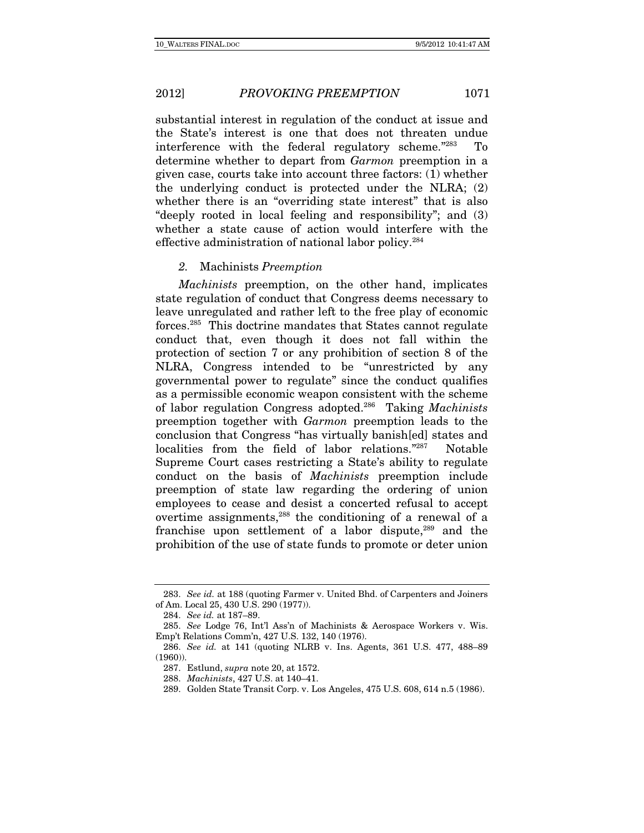substantial interest in regulation of the conduct at issue and the State's interest is one that does not threaten undue interference with the federal regulatory scheme."283 To determine whether to depart from Garmon preemption in a given case, courts take into account three factors: (1) whether the underlying conduct is protected under the NLRA; (2) whether there is an "overriding state interest" that is also "deeply rooted in local feeling and responsibility"; and (3) whether a state cause of action would interfere with the effective administration of national labor policy.284

### 2. Machinists Preemption

Machinists preemption, on the other hand, implicates state regulation of conduct that Congress deems necessary to leave unregulated and rather left to the free play of economic forces.285 This doctrine mandates that States cannot regulate conduct that, even though it does not fall within the protection of section 7 or any prohibition of section 8 of the NLRA, Congress intended to be "unrestricted by any governmental power to regulate" since the conduct qualifies as a permissible economic weapon consistent with the scheme of labor regulation Congress adopted.<sup>286</sup> Taking *Machinists* preemption together with Garmon preemption leads to the conclusion that Congress "has virtually banish[ed] states and localities from the field of labor relations."<sup>287</sup> Notable Supreme Court cases restricting a State's ability to regulate conduct on the basis of Machinists preemption include preemption of state law regarding the ordering of union employees to cease and desist a concerted refusal to accept overtime assignments,288 the conditioning of a renewal of a franchise upon settlement of a labor dispute,<sup>289</sup> and the prohibition of the use of state funds to promote or deter union

<sup>283.</sup> See id. at 188 (quoting Farmer v. United Bhd. of Carpenters and Joiners of Am. Local 25, 430 U.S. 290 (1977)).

<sup>284.</sup> See id. at 187–89.

<sup>285.</sup> See Lodge 76, Int'l Ass'n of Machinists & Aerospace Workers v. Wis. Emp't Relations Comm'n, 427 U.S. 132, 140 (1976).

<sup>286.</sup> See id. at 141 (quoting NLRB v. Ins. Agents, 361 U.S. 477, 488–89 (1960)).

 <sup>287.</sup> Estlund, supra note 20, at 1572.

<sup>288.</sup> Machinists, 427 U.S. at 140–41.

 <sup>289.</sup> Golden State Transit Corp. v. Los Angeles, 475 U.S. 608, 614 n.5 (1986).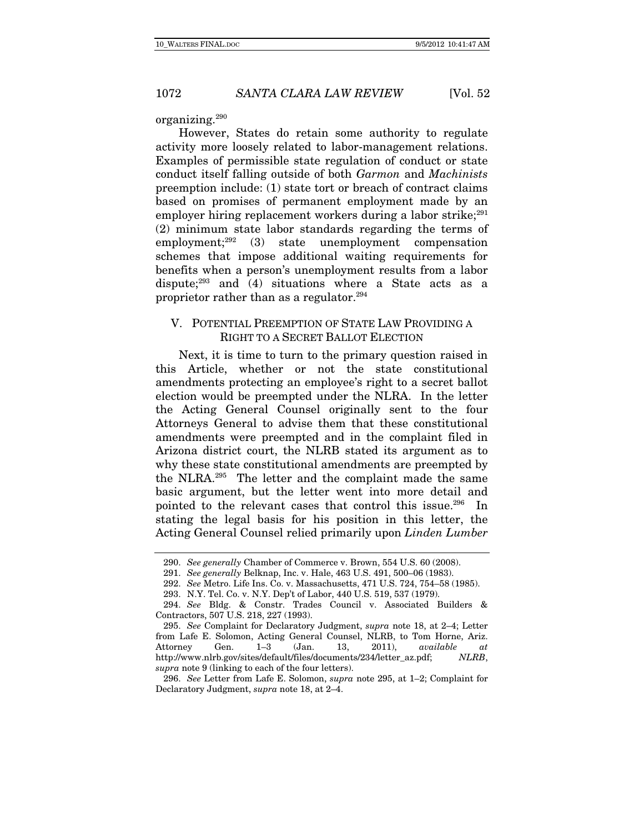#### organizing.290

However, States do retain some authority to regulate activity more loosely related to labor-management relations. Examples of permissible state regulation of conduct or state conduct itself falling outside of both Garmon and Machinists preemption include: (1) state tort or breach of contract claims based on promises of permanent employment made by an employer hiring replacement workers during a labor strike; $^{291}$ (2) minimum state labor standards regarding the terms of employment;292 (3) state unemployment compensation schemes that impose additional waiting requirements for benefits when a person's unemployment results from a labor dispute; $293$  and (4) situations where a State acts as a proprietor rather than as a regulator.294

# V. POTENTIAL PREEMPTION OF STATE LAW PROVIDING A RIGHT TO A SECRET BALLOT ELECTION

Next, it is time to turn to the primary question raised in this Article, whether or not the state constitutional amendments protecting an employee's right to a secret ballot election would be preempted under the NLRA. In the letter the Acting General Counsel originally sent to the four Attorneys General to advise them that these constitutional amendments were preempted and in the complaint filed in Arizona district court, the NLRB stated its argument as to why these state constitutional amendments are preempted by the NLRA.295 The letter and the complaint made the same basic argument, but the letter went into more detail and pointed to the relevant cases that control this issue.<sup>296</sup> In stating the legal basis for his position in this letter, the Acting General Counsel relied primarily upon Linden Lumber

<sup>290.</sup> See generally Chamber of Commerce v. Brown, 554 U.S. 60 (2008).

<sup>291.</sup> See generally Belknap, Inc. v. Hale, 463 U.S. 491, 500–06 (1983).

<sup>292.</sup> See Metro. Life Ins. Co. v. Massachusetts, 471 U.S. 724, 754–58 (1985).

 <sup>293.</sup> N.Y. Tel. Co. v. N.Y. Dep't of Labor, 440 U.S. 519, 537 (1979).

<sup>294.</sup> See Bldg. & Constr. Trades Council v. Associated Builders & Contractors, 507 U.S. 218, 227 (1993).

<sup>295.</sup> See Complaint for Declaratory Judgment, supra note 18, at 2–4; Letter from Lafe E. Solomon, Acting General Counsel, NLRB, to Tom Horne, Ariz. Attorney Gen. 1–3 (Jan. 13, 2011), available at http://www.nlrb.gov/sites/default/files/documents/234/letter\_az.pdf; NLRB, supra note 9 (linking to each of the four letters).

<sup>296.</sup> See Letter from Lafe E. Solomon, supra note 295, at 1–2; Complaint for Declaratory Judgment, supra note 18, at 2–4.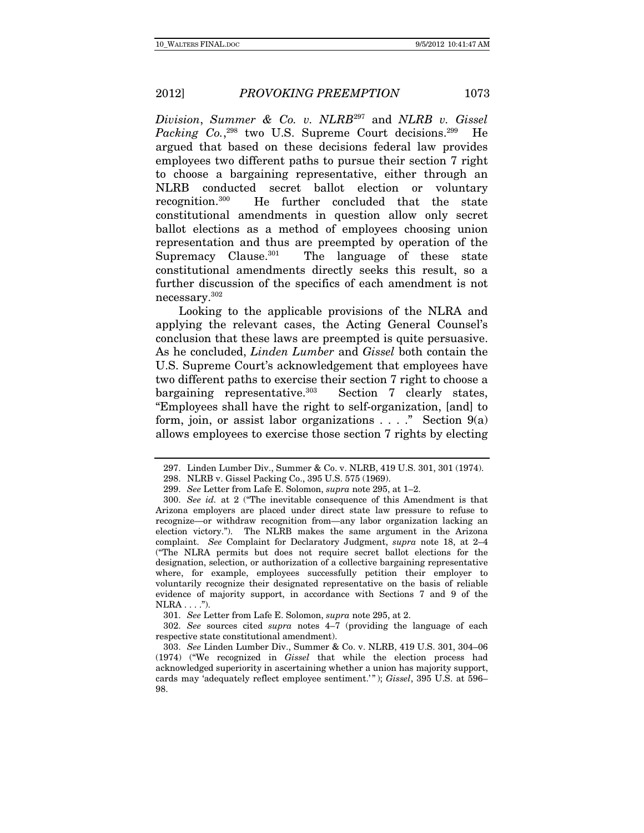Division, Summer & Co. v.  $NLRB^{297}$  and  $NLRB$  v. Gissel Packing Co.,<sup>298</sup> two U.S. Supreme Court decisions.<sup>299</sup> He argued that based on these decisions federal law provides employees two different paths to pursue their section 7 right to choose a bargaining representative, either through an NLRB conducted secret ballot election or voluntary recognition.300 He further concluded that the state constitutional amendments in question allow only secret ballot elections as a method of employees choosing union representation and thus are preempted by operation of the Supremacy Clause. $301$  The language of these state constitutional amendments directly seeks this result, so a further discussion of the specifics of each amendment is not necessary.302

Looking to the applicable provisions of the NLRA and applying the relevant cases, the Acting General Counsel's conclusion that these laws are preempted is quite persuasive. As he concluded, Linden Lumber and Gissel both contain the U.S. Supreme Court's acknowledgement that employees have two different paths to exercise their section 7 right to choose a bargaining representative.<sup>303</sup> Section 7 clearly states, "Employees shall have the right to self-organization, [and] to form, join, or assist labor organizations  $\dots$ ." Section  $9(a)$ allows employees to exercise those section 7 rights by electing

301. See Letter from Lafe E. Solomon, supra note 295, at 2.

302. See sources cited *supra* notes  $4-\overline{7}$  (providing the language of each respective state constitutional amendment).

 <sup>297.</sup> Linden Lumber Div., Summer & Co. v. NLRB, 419 U.S. 301, 301 (1974).

 <sup>298.</sup> NLRB v. Gissel Packing Co., 395 U.S. 575 (1969).

<sup>299.</sup> See Letter from Lafe E. Solomon, supra note 295, at 1–2.

<sup>300.</sup> See id. at 2 ("The inevitable consequence of this Amendment is that Arizona employers are placed under direct state law pressure to refuse to recognize—or withdraw recognition from—any labor organization lacking an election victory."). The NLRB makes the same argument in the Arizona complaint. See Complaint for Declaratory Judgment, supra note 18, at 2–4 ("The NLRA permits but does not require secret ballot elections for the designation, selection, or authorization of a collective bargaining representative where, for example, employees successfully petition their employer to voluntarily recognize their designated representative on the basis of reliable evidence of majority support, in accordance with Sections 7 and 9 of the  $NLRA \ldots$ .").

<sup>303.</sup> See Linden Lumber Div., Summer & Co. v. NLRB, 419 U.S. 301, 304–06 (1974) ("We recognized in Gissel that while the election process had acknowledged superiority in ascertaining whether a union has majority support, cards may 'adequately reflect employee sentiment.'"); Gissel, 395 U.S. at 596-98.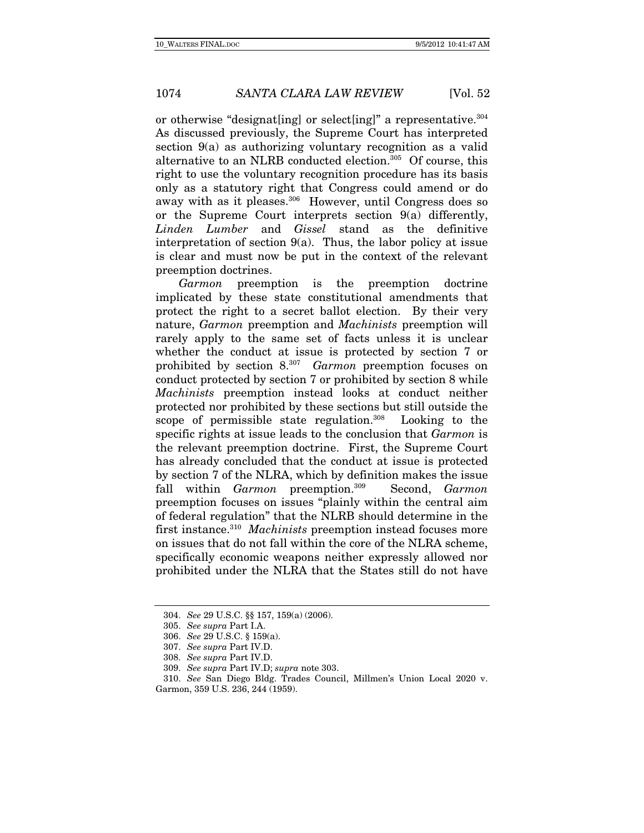or otherwise "designat[ing] or select[ing]" a representative.304 As discussed previously, the Supreme Court has interpreted section 9(a) as authorizing voluntary recognition as a valid alternative to an NLRB conducted election.<sup>305</sup> Of course, this right to use the voluntary recognition procedure has its basis only as a statutory right that Congress could amend or do away with as it pleases.<sup>306</sup> However, until Congress does so or the Supreme Court interprets section  $9(a)$  differently, Linden Lumber and Gissel stand as the definitive interpretation of section  $9(a)$ . Thus, the labor policy at issue is clear and must now be put in the context of the relevant preemption doctrines.

Garmon preemption is the preemption doctrine implicated by these state constitutional amendments that protect the right to a secret ballot election. By their very nature, Garmon preemption and Machinists preemption will rarely apply to the same set of facts unless it is unclear whether the conduct at issue is protected by section 7 or prohibited by section 8.307 Garmon preemption focuses on conduct protected by section 7 or prohibited by section 8 while Machinists preemption instead looks at conduct neither protected nor prohibited by these sections but still outside the scope of permissible state regulation. $308$  Looking to the specific rights at issue leads to the conclusion that Garmon is the relevant preemption doctrine. First, the Supreme Court has already concluded that the conduct at issue is protected by section 7 of the NLRA, which by definition makes the issue fall within Garmon preemption.<sup>309</sup> Second, Garmon preemption focuses on issues "plainly within the central aim of federal regulation" that the NLRB should determine in the first instance.<sup>310</sup> Machinists preemption instead focuses more on issues that do not fall within the core of the NLRA scheme, specifically economic weapons neither expressly allowed nor prohibited under the NLRA that the States still do not have

<sup>304.</sup> See 29 U.S.C. §§ 157, 159(a) (2006).

<sup>305.</sup> See supra Part I.A.

<sup>306.</sup> See 29 U.S.C. § 159(a).

<sup>307.</sup> See supra Part IV.D.

<sup>308.</sup> See supra Part IV.D.

<sup>309.</sup> See supra Part IV.D; supra note 303.

<sup>310.</sup> See San Diego Bldg. Trades Council, Millmen's Union Local 2020 v. Garmon, 359 U.S. 236, 244 (1959).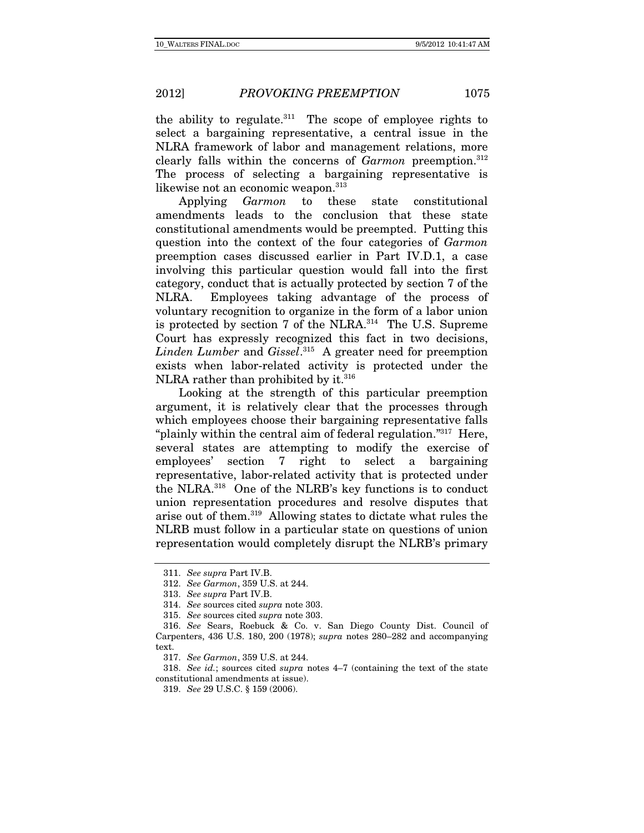the ability to regulate.<sup>311</sup> The scope of employee rights to select a bargaining representative, a central issue in the NLRA framework of labor and management relations, more clearly falls within the concerns of  $Garmon$  preemption.<sup>312</sup> The process of selecting a bargaining representative is likewise not an economic weapon.<sup>313</sup>

Applying Garmon to these state constitutional amendments leads to the conclusion that these state constitutional amendments would be preempted. Putting this question into the context of the four categories of Garmon preemption cases discussed earlier in Part IV.D.1, a case involving this particular question would fall into the first category, conduct that is actually protected by section 7 of the NLRA. Employees taking advantage of the process of voluntary recognition to organize in the form of a labor union is protected by section 7 of the NLRA.<sup>314</sup> The U.S. Supreme Court has expressly recognized this fact in two decisions, Linden Lumber and Gissel.<sup>315</sup> A greater need for preemption exists when labor-related activity is protected under the NLRA rather than prohibited by it.<sup>316</sup>

Looking at the strength of this particular preemption argument, it is relatively clear that the processes through which employees choose their bargaining representative falls "plainly within the central aim of federal regulation."<sup>317</sup> Here, several states are attempting to modify the exercise of employees' section 7 right to select a bargaining representative, labor-related activity that is protected under the NLRA.318 One of the NLRB's key functions is to conduct union representation procedures and resolve disputes that arise out of them.319 Allowing states to dictate what rules the NLRB must follow in a particular state on questions of union representation would completely disrupt the NLRB's primary

<sup>311.</sup> See supra Part IV.B.

<sup>312.</sup> See Garmon, 359 U.S. at 244.

<sup>313.</sup> See supra Part IV.B.

<sup>314.</sup> See sources cited supra note 303.

<sup>315.</sup> See sources cited supra note 303.

<sup>316.</sup> See Sears, Roebuck & Co. v. San Diego County Dist. Council of Carpenters, 436 U.S. 180, 200 (1978); supra notes 280–282 and accompanying text.

<sup>317.</sup> See Garmon, 359 U.S. at 244.

<sup>318.</sup> See id.; sources cited supra notes  $4-7$  (containing the text of the state constitutional amendments at issue).

<sup>319.</sup> See 29 U.S.C. § 159 (2006).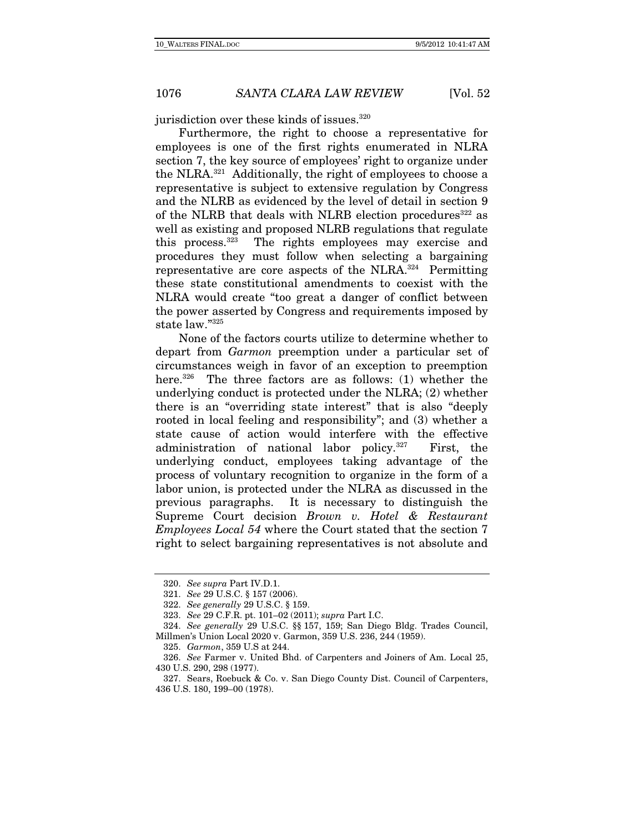jurisdiction over these kinds of issues.<sup>320</sup>

Furthermore, the right to choose a representative for employees is one of the first rights enumerated in NLRA section 7, the key source of employees' right to organize under the NLRA.321 Additionally, the right of employees to choose a representative is subject to extensive regulation by Congress and the NLRB as evidenced by the level of detail in section 9 of the NLRB that deals with NLRB election procedures<sup>322</sup> as well as existing and proposed NLRB regulations that regulate this process.323 The rights employees may exercise and procedures they must follow when selecting a bargaining representative are core aspects of the NLRA.324 Permitting these state constitutional amendments to coexist with the NLRA would create "too great a danger of conflict between the power asserted by Congress and requirements imposed by state law."325

None of the factors courts utilize to determine whether to depart from Garmon preemption under a particular set of circumstances weigh in favor of an exception to preemption here.<sup>326</sup> The three factors are as follows: (1) whether the underlying conduct is protected under the NLRA; (2) whether there is an "overriding state interest" that is also "deeply rooted in local feeling and responsibility"; and (3) whether a state cause of action would interfere with the effective administration of national labor policy.327 First, the underlying conduct, employees taking advantage of the process of voluntary recognition to organize in the form of a labor union, is protected under the NLRA as discussed in the previous paragraphs. It is necessary to distinguish the Supreme Court decision Brown v. Hotel & Restaurant Employees Local 54 where the Court stated that the section 7 right to select bargaining representatives is not absolute and

<sup>320.</sup> See supra Part IV.D.1.

<sup>321.</sup> See 29 U.S.C. § 157 (2006).

<sup>322.</sup> See generally 29 U.S.C. § 159.

<sup>323.</sup> See 29 C.F.R. pt. 101–02 (2011); supra Part I.C.

<sup>324.</sup> See generally 29 U.S.C. §§ 157, 159; San Diego Bldg. Trades Council, Millmen's Union Local 2020 v. Garmon, 359 U.S. 236, 244 (1959).

<sup>325.</sup> Garmon, 359 U.S at 244.

<sup>326.</sup> See Farmer v. United Bhd. of Carpenters and Joiners of Am. Local 25, 430 U.S. 290, 298 (1977).

 <sup>327.</sup> Sears, Roebuck & Co. v. San Diego County Dist. Council of Carpenters, 436 U.S. 180, 199–00 (1978).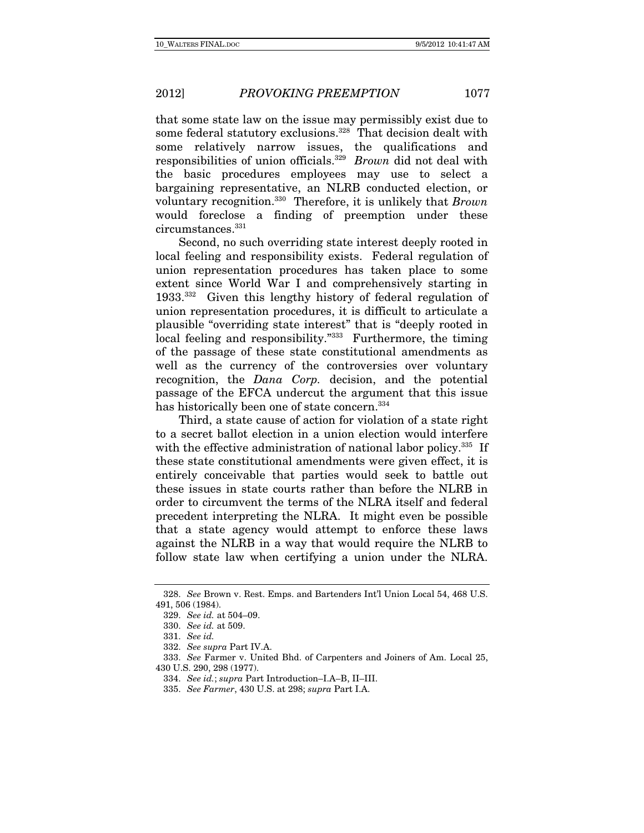that some state law on the issue may permissibly exist due to some federal statutory exclusions.<sup>328</sup> That decision dealt with some relatively narrow issues, the qualifications and responsibilities of union officials.329 Brown did not deal with the basic procedures employees may use to select a bargaining representative, an NLRB conducted election, or voluntary recognition.<sup>330</sup> Therefore, it is unlikely that *Brown* would foreclose a finding of preemption under these circumstances.331

Second, no such overriding state interest deeply rooted in local feeling and responsibility exists. Federal regulation of union representation procedures has taken place to some extent since World War I and comprehensively starting in 1933.332 Given this lengthy history of federal regulation of union representation procedures, it is difficult to articulate a plausible "overriding state interest" that is "deeply rooted in local feeling and responsibility."333 Furthermore, the timing of the passage of these state constitutional amendments as well as the currency of the controversies over voluntary recognition, the Dana Corp. decision, and the potential passage of the EFCA undercut the argument that this issue has historically been one of state concern.<sup>334</sup>

Third, a state cause of action for violation of a state right to a secret ballot election in a union election would interfere with the effective administration of national labor policy.<sup>335</sup> If these state constitutional amendments were given effect, it is entirely conceivable that parties would seek to battle out these issues in state courts rather than before the NLRB in order to circumvent the terms of the NLRA itself and federal precedent interpreting the NLRA. It might even be possible that a state agency would attempt to enforce these laws against the NLRB in a way that would require the NLRB to follow state law when certifying a union under the NLRA.

334. See id.; supra Part Introduction–I.A–B, II–III.

<sup>328.</sup> See Brown v. Rest. Emps. and Bartenders Int'l Union Local 54, 468 U.S. 491, 506 (1984).

<sup>329.</sup> See id. at 504–09.

<sup>330.</sup> See id. at 509.

<sup>331.</sup> See id.

<sup>332.</sup> See supra Part IV.A.

<sup>333.</sup> See Farmer v. United Bhd. of Carpenters and Joiners of Am. Local 25, 430 U.S. 290, 298 (1977).

<sup>335.</sup> See Farmer, 430 U.S. at 298; supra Part I.A.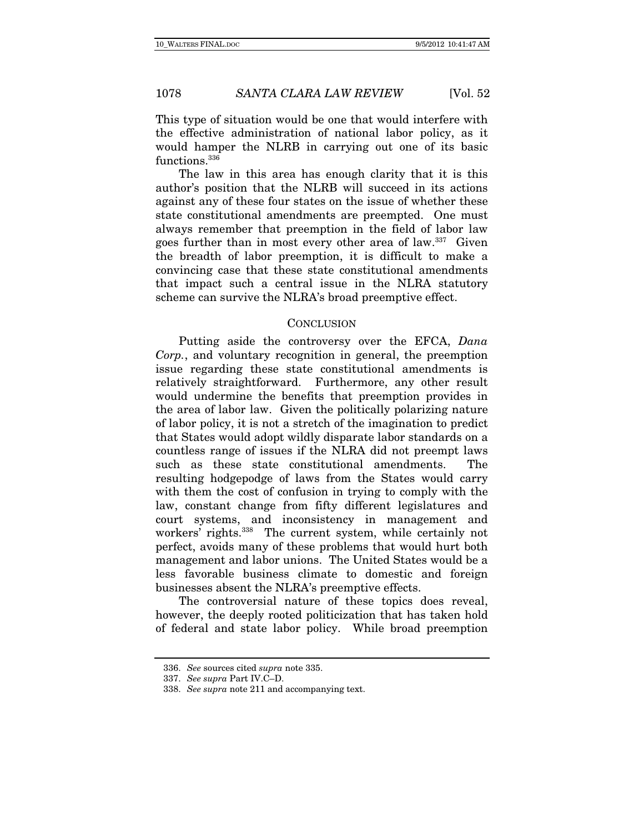This type of situation would be one that would interfere with the effective administration of national labor policy, as it would hamper the NLRB in carrying out one of its basic functions.<sup>336</sup>

The law in this area has enough clarity that it is this author's position that the NLRB will succeed in its actions against any of these four states on the issue of whether these state constitutional amendments are preempted. One must always remember that preemption in the field of labor law goes further than in most every other area of law.337 Given the breadth of labor preemption, it is difficult to make a convincing case that these state constitutional amendments that impact such a central issue in the NLRA statutory scheme can survive the NLRA's broad preemptive effect.

# **CONCLUSION**

Putting aside the controversy over the EFCA, Dana Corp., and voluntary recognition in general, the preemption issue regarding these state constitutional amendments is relatively straightforward. Furthermore, any other result would undermine the benefits that preemption provides in the area of labor law. Given the politically polarizing nature of labor policy, it is not a stretch of the imagination to predict that States would adopt wildly disparate labor standards on a countless range of issues if the NLRA did not preempt laws such as these state constitutional amendments. The resulting hodgepodge of laws from the States would carry with them the cost of confusion in trying to comply with the law, constant change from fifty different legislatures and court systems, and inconsistency in management and workers' rights.<sup>338</sup> The current system, while certainly not perfect, avoids many of these problems that would hurt both management and labor unions. The United States would be a less favorable business climate to domestic and foreign businesses absent the NLRA's preemptive effects.

The controversial nature of these topics does reveal, however, the deeply rooted politicization that has taken hold of federal and state labor policy. While broad preemption

<sup>336.</sup> See sources cited supra note 335.

<sup>337.</sup> See supra Part IV.C–D.

<sup>338.</sup> See supra note 211 and accompanying text.